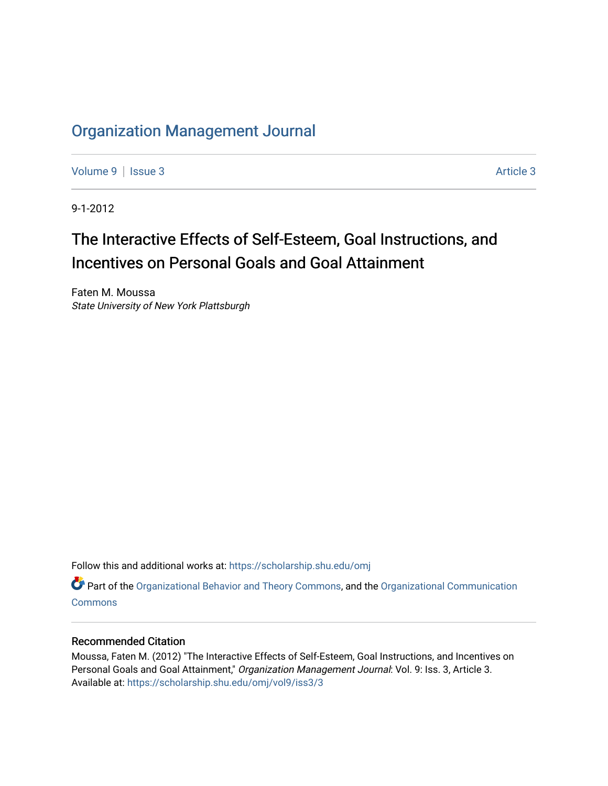# [Organization Management Journal](https://scholarship.shu.edu/omj)

[Volume 9](https://scholarship.shu.edu/omj/vol9) | [Issue 3](https://scholarship.shu.edu/omj/vol9/iss3) Article 3

9-1-2012

# The Interactive Effects of Self-Esteem, Goal Instructions, and Incentives on Personal Goals and Goal Attainment

Faten M. Moussa State University of New York Plattsburgh

Follow this and additional works at: [https://scholarship.shu.edu/omj](https://scholarship.shu.edu/omj?utm_source=scholarship.shu.edu%2Fomj%2Fvol9%2Fiss3%2F3&utm_medium=PDF&utm_campaign=PDFCoverPages) 

Part of the [Organizational Behavior and Theory Commons,](http://network.bepress.com/hgg/discipline/639?utm_source=scholarship.shu.edu%2Fomj%2Fvol9%2Fiss3%2F3&utm_medium=PDF&utm_campaign=PDFCoverPages) and the [Organizational Communication](http://network.bepress.com/hgg/discipline/335?utm_source=scholarship.shu.edu%2Fomj%2Fvol9%2Fiss3%2F3&utm_medium=PDF&utm_campaign=PDFCoverPages) **[Commons](http://network.bepress.com/hgg/discipline/335?utm_source=scholarship.shu.edu%2Fomj%2Fvol9%2Fiss3%2F3&utm_medium=PDF&utm_campaign=PDFCoverPages)** 

# Recommended Citation

Moussa, Faten M. (2012) "The Interactive Effects of Self-Esteem, Goal Instructions, and Incentives on Personal Goals and Goal Attainment," Organization Management Journal: Vol. 9: Iss. 3, Article 3. Available at: [https://scholarship.shu.edu/omj/vol9/iss3/3](https://scholarship.shu.edu/omj/vol9/iss3/3?utm_source=scholarship.shu.edu%2Fomj%2Fvol9%2Fiss3%2F3&utm_medium=PDF&utm_campaign=PDFCoverPages)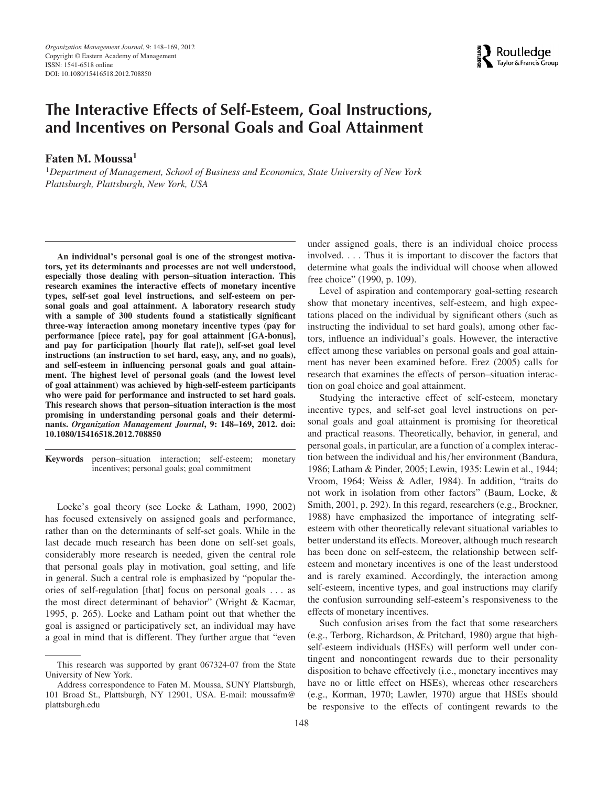

# **The Interactive Effects of Self-Esteem, Goal Instructions, and Incentives on Personal Goals and Goal Attainment**

**Faten M. Moussa1**

<sup>1</sup>*Department of Management, School of Business and Economics, State University of New York Plattsburgh, Plattsburgh, New York, USA*

**An individual's personal goal is one of the strongest motivators, yet its determinants and processes are not well understood, especially those dealing with person–situation interaction. This research examines the interactive effects of monetary incentive types, self-set goal level instructions, and self-esteem on personal goals and goal attainment. A laboratory research study with a sample of 300 students found a statistically significant three-way interaction among monetary incentive types (pay for performance [piece rate], pay for goal attainment [GA-bonus], and pay for participation [hourly flat rate]), self-set goal level instructions (an instruction to set hard, easy, any, and no goals), and self-esteem in influencing personal goals and goal attainment. The highest level of personal goals (and the lowest level of goal attainment) was achieved by high-self-esteem participants who were paid for performance and instructed to set hard goals. This research shows that person–situation interaction is the most promising in understanding personal goals and their determinants.** *Organization Management Journal***, 9: 148–169, 2012. doi: 10.1080/15416518.2012.708850**

**Keywords** person–situation interaction; self-esteem; monetary incentives; personal goals; goal commitment

Locke's goal theory (see Locke & Latham, 1990, 2002) has focused extensively on assigned goals and performance, rather than on the determinants of self-set goals. While in the last decade much research has been done on self-set goals, considerably more research is needed, given the central role that personal goals play in motivation, goal setting, and life in general. Such a central role is emphasized by "popular theories of self-regulation [that] focus on personal goals ... as the most direct determinant of behavior" (Wright & Kacmar, 1995, p. 265). Locke and Latham point out that whether the goal is assigned or participatively set, an individual may have a goal in mind that is different. They further argue that "even under assigned goals, there is an individual choice process involved. ... Thus it is important to discover the factors that determine what goals the individual will choose when allowed free choice" (1990, p. 109).

Level of aspiration and contemporary goal-setting research show that monetary incentives, self-esteem, and high expectations placed on the individual by significant others (such as instructing the individual to set hard goals), among other factors, influence an individual's goals. However, the interactive effect among these variables on personal goals and goal attainment has never been examined before. Erez (2005) calls for research that examines the effects of person–situation interaction on goal choice and goal attainment.

Studying the interactive effect of self-esteem, monetary incentive types, and self-set goal level instructions on personal goals and goal attainment is promising for theoretical and practical reasons. Theoretically, behavior, in general, and personal goals, in particular, are a function of a complex interaction between the individual and his/her environment (Bandura, 1986; Latham & Pinder, 2005; Lewin, 1935: Lewin et al., 1944; Vroom, 1964; Weiss & Adler, 1984). In addition, "traits do not work in isolation from other factors" (Baum, Locke, & Smith, 2001, p. 292). In this regard, researchers (e.g., Brockner, 1988) have emphasized the importance of integrating selfesteem with other theoretically relevant situational variables to better understand its effects. Moreover, although much research has been done on self-esteem, the relationship between selfesteem and monetary incentives is one of the least understood and is rarely examined. Accordingly, the interaction among self-esteem, incentive types, and goal instructions may clarify the confusion surrounding self-esteem's responsiveness to the effects of monetary incentives.

Such confusion arises from the fact that some researchers (e.g., Terborg, Richardson, & Pritchard, 1980) argue that highself-esteem individuals (HSEs) will perform well under contingent and noncontingent rewards due to their personality disposition to behave effectively (i.e., monetary incentives may have no or little effect on HSEs), whereas other researchers (e.g., Korman, 1970; Lawler, 1970) argue that HSEs should be responsive to the effects of contingent rewards to the

This research was supported by grant 067324-07 from the State University of New York.

Address correspondence to Faten M. Moussa, SUNY Plattsburgh, 101 Broad St., Plattsburgh, NY 12901, USA. E-mail: moussafm@ plattsburgh.edu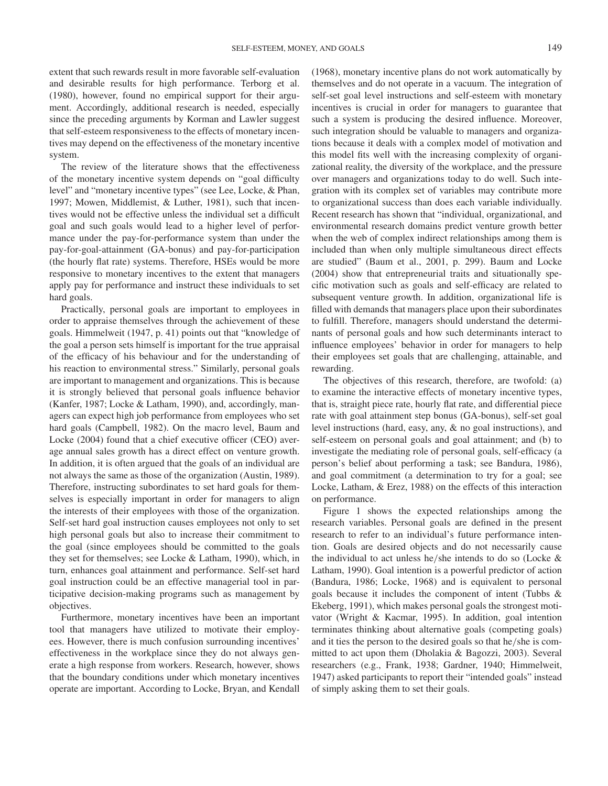extent that such rewards result in more favorable self-evaluation and desirable results for high performance. Terborg et al. (1980), however, found no empirical support for their argument. Accordingly, additional research is needed, especially since the preceding arguments by Korman and Lawler suggest that self-esteem responsiveness to the effects of monetary incentives may depend on the effectiveness of the monetary incentive system.

The review of the literature shows that the effectiveness of the monetary incentive system depends on "goal difficulty level" and "monetary incentive types" (see Lee, Locke, & Phan, 1997; Mowen, Middlemist, & Luther, 1981), such that incentives would not be effective unless the individual set a difficult goal and such goals would lead to a higher level of performance under the pay-for-performance system than under the pay-for-goal-attainment (GA-bonus) and pay-for-participation (the hourly flat rate) systems. Therefore, HSEs would be more responsive to monetary incentives to the extent that managers apply pay for performance and instruct these individuals to set hard goals.

Practically, personal goals are important to employees in order to appraise themselves through the achievement of these goals. Himmelweit (1947, p. 41) points out that "knowledge of the goal a person sets himself is important for the true appraisal of the efficacy of his behaviour and for the understanding of his reaction to environmental stress." Similarly, personal goals are important to management and organizations. This is because it is strongly believed that personal goals influence behavior (Kanfer, 1987; Locke & Latham, 1990), and, accordingly, managers can expect high job performance from employees who set hard goals (Campbell, 1982). On the macro level, Baum and Locke (2004) found that a chief executive officer (CEO) average annual sales growth has a direct effect on venture growth. In addition, it is often argued that the goals of an individual are not always the same as those of the organization (Austin, 1989). Therefore, instructing subordinates to set hard goals for themselves is especially important in order for managers to align the interests of their employees with those of the organization. Self-set hard goal instruction causes employees not only to set high personal goals but also to increase their commitment to the goal (since employees should be committed to the goals they set for themselves; see Locke & Latham, 1990), which, in turn, enhances goal attainment and performance. Self-set hard goal instruction could be an effective managerial tool in participative decision-making programs such as management by objectives.

Furthermore, monetary incentives have been an important tool that managers have utilized to motivate their employees. However, there is much confusion surrounding incentives' effectiveness in the workplace since they do not always generate a high response from workers. Research, however, shows that the boundary conditions under which monetary incentives operate are important. According to Locke, Bryan, and Kendall

(1968), monetary incentive plans do not work automatically by themselves and do not operate in a vacuum. The integration of self-set goal level instructions and self-esteem with monetary incentives is crucial in order for managers to guarantee that such a system is producing the desired influence. Moreover, such integration should be valuable to managers and organizations because it deals with a complex model of motivation and this model fits well with the increasing complexity of organizational reality, the diversity of the workplace, and the pressure over managers and organizations today to do well. Such integration with its complex set of variables may contribute more to organizational success than does each variable individually. Recent research has shown that "individual, organizational, and environmental research domains predict venture growth better when the web of complex indirect relationships among them is included than when only multiple simultaneous direct effects are studied" (Baum et al., 2001, p. 299). Baum and Locke (2004) show that entrepreneurial traits and situationally specific motivation such as goals and self-efficacy are related to subsequent venture growth. In addition, organizational life is filled with demands that managers place upon their subordinates to fulfill. Therefore, managers should understand the determinants of personal goals and how such determinants interact to influence employees' behavior in order for managers to help their employees set goals that are challenging, attainable, and rewarding.

The objectives of this research, therefore, are twofold: (a) to examine the interactive effects of monetary incentive types, that is, straight piece rate, hourly flat rate, and differential piece rate with goal attainment step bonus (GA-bonus), self-set goal level instructions (hard, easy, any, & no goal instructions), and self-esteem on personal goals and goal attainment; and (b) to investigate the mediating role of personal goals, self-efficacy (a person's belief about performing a task; see Bandura, 1986), and goal commitment (a determination to try for a goal; see Locke, Latham, & Erez, 1988) on the effects of this interaction on performance.

Figure 1 shows the expected relationships among the research variables. Personal goals are defined in the present research to refer to an individual's future performance intention. Goals are desired objects and do not necessarily cause the individual to act unless he/she intends to do so (Locke & Latham, 1990). Goal intention is a powerful predictor of action (Bandura, 1986; Locke, 1968) and is equivalent to personal goals because it includes the component of intent (Tubbs & Ekeberg, 1991), which makes personal goals the strongest motivator (Wright & Kacmar, 1995). In addition, goal intention terminates thinking about alternative goals (competing goals) and it ties the person to the desired goals so that he/she is committed to act upon them (Dholakia & Bagozzi, 2003). Several researchers (e.g., Frank, 1938; Gardner, 1940; Himmelweit, 1947) asked participants to report their "intended goals" instead of simply asking them to set their goals.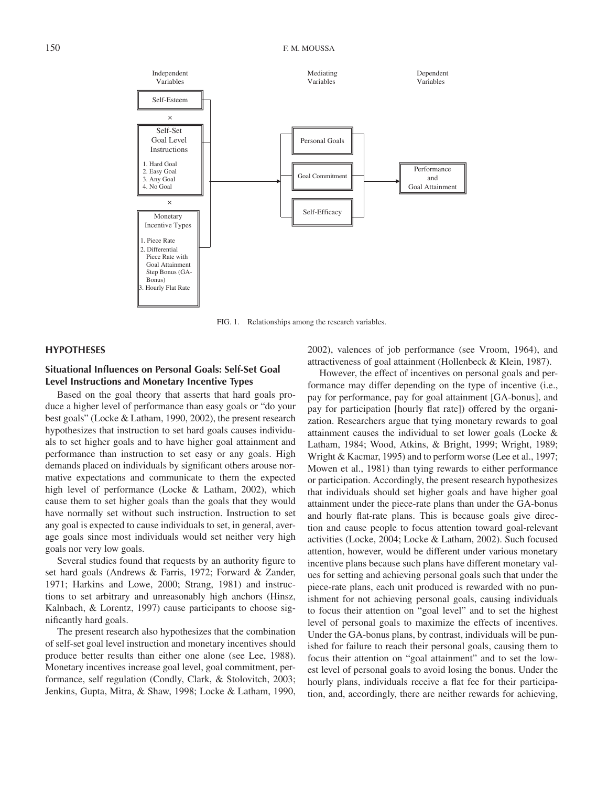

FIG. 1. Relationships among the research variables.

# **HYPOTHESES**

# **Situational Influences on Personal Goals: Self-Set Goal Level Instructions and Monetary Incentive Types**

Based on the goal theory that asserts that hard goals produce a higher level of performance than easy goals or "do your best goals" (Locke & Latham, 1990, 2002), the present research hypothesizes that instruction to set hard goals causes individuals to set higher goals and to have higher goal attainment and performance than instruction to set easy or any goals. High demands placed on individuals by significant others arouse normative expectations and communicate to them the expected high level of performance (Locke & Latham, 2002), which cause them to set higher goals than the goals that they would have normally set without such instruction. Instruction to set any goal is expected to cause individuals to set, in general, average goals since most individuals would set neither very high goals nor very low goals.

Several studies found that requests by an authority figure to set hard goals (Andrews & Farris, 1972; Forward & Zander, 1971; Harkins and Lowe, 2000; Strang, 1981) and instructions to set arbitrary and unreasonably high anchors (Hinsz, Kalnbach, & Lorentz, 1997) cause participants to choose significantly hard goals.

The present research also hypothesizes that the combination of self-set goal level instruction and monetary incentives should produce better results than either one alone (see Lee, 1988). Monetary incentives increase goal level, goal commitment, performance, self regulation (Condly, Clark, & Stolovitch, 2003; Jenkins, Gupta, Mitra, & Shaw, 1998; Locke & Latham, 1990,

2002), valences of job performance (see Vroom, 1964), and attractiveness of goal attainment (Hollenbeck & Klein, 1987).

However, the effect of incentives on personal goals and performance may differ depending on the type of incentive (i.e., pay for performance, pay for goal attainment [GA-bonus], and pay for participation [hourly flat rate]) offered by the organization. Researchers argue that tying monetary rewards to goal attainment causes the individual to set lower goals (Locke & Latham, 1984; Wood, Atkins, & Bright, 1999; Wright, 1989; Wright & Kacmar, 1995) and to perform worse (Lee et al., 1997; Mowen et al., 1981) than tying rewards to either performance or participation. Accordingly, the present research hypothesizes that individuals should set higher goals and have higher goal attainment under the piece-rate plans than under the GA-bonus and hourly flat-rate plans. This is because goals give direction and cause people to focus attention toward goal-relevant activities (Locke, 2004; Locke & Latham, 2002). Such focused attention, however, would be different under various monetary incentive plans because such plans have different monetary values for setting and achieving personal goals such that under the piece-rate plans, each unit produced is rewarded with no punishment for not achieving personal goals, causing individuals to focus their attention on "goal level" and to set the highest level of personal goals to maximize the effects of incentives. Under the GA-bonus plans, by contrast, individuals will be punished for failure to reach their personal goals, causing them to focus their attention on "goal attainment" and to set the lowest level of personal goals to avoid losing the bonus. Under the hourly plans, individuals receive a flat fee for their participation, and, accordingly, there are neither rewards for achieving,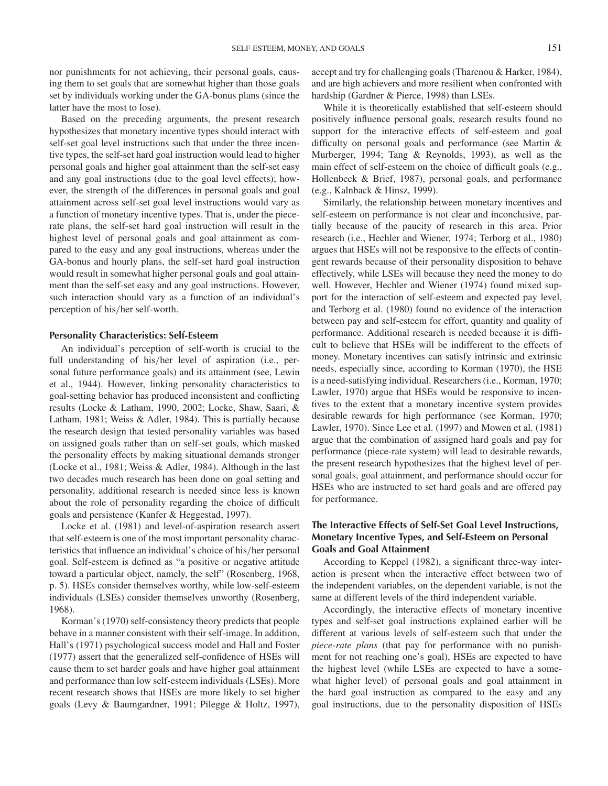nor punishments for not achieving, their personal goals, causing them to set goals that are somewhat higher than those goals set by individuals working under the GA-bonus plans (since the latter have the most to lose).

Based on the preceding arguments, the present research hypothesizes that monetary incentive types should interact with self-set goal level instructions such that under the three incentive types, the self-set hard goal instruction would lead to higher personal goals and higher goal attainment than the self-set easy and any goal instructions (due to the goal level effects); however, the strength of the differences in personal goals and goal attainment across self-set goal level instructions would vary as a function of monetary incentive types. That is, under the piecerate plans, the self-set hard goal instruction will result in the highest level of personal goals and goal attainment as compared to the easy and any goal instructions, whereas under the GA-bonus and hourly plans, the self-set hard goal instruction would result in somewhat higher personal goals and goal attainment than the self-set easy and any goal instructions. However, such interaction should vary as a function of an individual's perception of his/her self-worth.

#### **Personality Characteristics: Self-Esteem**

An individual's perception of self-worth is crucial to the full understanding of his/her level of aspiration (i.e., personal future performance goals) and its attainment (see, Lewin et al., 1944). However, linking personality characteristics to goal-setting behavior has produced inconsistent and conflicting results (Locke & Latham, 1990, 2002; Locke, Shaw, Saari, & Latham, 1981; Weiss & Adler, 1984). This is partially because the research design that tested personality variables was based on assigned goals rather than on self-set goals, which masked the personality effects by making situational demands stronger (Locke et al., 1981; Weiss & Adler, 1984). Although in the last two decades much research has been done on goal setting and personality, additional research is needed since less is known about the role of personality regarding the choice of difficult goals and persistence (Kanfer & Heggestad, 1997).

Locke et al. (1981) and level-of-aspiration research assert that self-esteem is one of the most important personality characteristics that influence an individual's choice of his/her personal goal. Self-esteem is defined as "a positive or negative attitude toward a particular object, namely, the self" (Rosenberg, 1968, p. 5). HSEs consider themselves worthy, while low-self-esteem individuals (LSEs) consider themselves unworthy (Rosenberg, 1968).

Korman's (1970) self-consistency theory predicts that people behave in a manner consistent with their self-image. In addition, Hall's (1971) psychological success model and Hall and Foster (1977) assert that the generalized self-confidence of HSEs will cause them to set harder goals and have higher goal attainment and performance than low self-esteem individuals (LSEs). More recent research shows that HSEs are more likely to set higher goals (Levy & Baumgardner, 1991; Pilegge & Holtz, 1997),

accept and try for challenging goals (Tharenou & Harker, 1984), and are high achievers and more resilient when confronted with hardship (Gardner & Pierce, 1998) than LSEs.

While it is theoretically established that self-esteem should positively influence personal goals, research results found no support for the interactive effects of self-esteem and goal difficulty on personal goals and performance (see Martin & Murberger, 1994; Tang & Reynolds, 1993), as well as the main effect of self-esteem on the choice of difficult goals (e.g., Hollenbeck & Brief, 1987), personal goals, and performance (e.g., Kalnback & Hinsz, 1999).

Similarly, the relationship between monetary incentives and self-esteem on performance is not clear and inconclusive, partially because of the paucity of research in this area. Prior research (i.e., Hechler and Wiener, 1974; Terborg et al., 1980) argues that HSEs will not be responsive to the effects of contingent rewards because of their personality disposition to behave effectively, while LSEs will because they need the money to do well. However, Hechler and Wiener (1974) found mixed support for the interaction of self-esteem and expected pay level, and Terborg et al. (1980) found no evidence of the interaction between pay and self-esteem for effort, quantity and quality of performance. Additional research is needed because it is difficult to believe that HSEs will be indifferent to the effects of money. Monetary incentives can satisfy intrinsic and extrinsic needs, especially since, according to Korman (1970), the HSE is a need-satisfying individual. Researchers (i.e., Korman, 1970; Lawler, 1970) argue that HSEs would be responsive to incentives to the extent that a monetary incentive system provides desirable rewards for high performance (see Korman, 1970; Lawler, 1970). Since Lee et al. (1997) and Mowen et al. (1981) argue that the combination of assigned hard goals and pay for performance (piece-rate system) will lead to desirable rewards, the present research hypothesizes that the highest level of personal goals, goal attainment, and performance should occur for HSEs who are instructed to set hard goals and are offered pay for performance.

# **The Interactive Effects of Self-Set Goal Level Instructions, Monetary Incentive Types, and Self-Esteem on Personal Goals and Goal Attainment**

According to Keppel (1982), a significant three-way interaction is present when the interactive effect between two of the independent variables, on the dependent variable, is not the same at different levels of the third independent variable.

Accordingly, the interactive effects of monetary incentive types and self-set goal instructions explained earlier will be different at various levels of self-esteem such that under the *piece-rate plans* (that pay for performance with no punishment for not reaching one's goal), HSEs are expected to have the highest level (while LSEs are expected to have a somewhat higher level) of personal goals and goal attainment in the hard goal instruction as compared to the easy and any goal instructions, due to the personality disposition of HSEs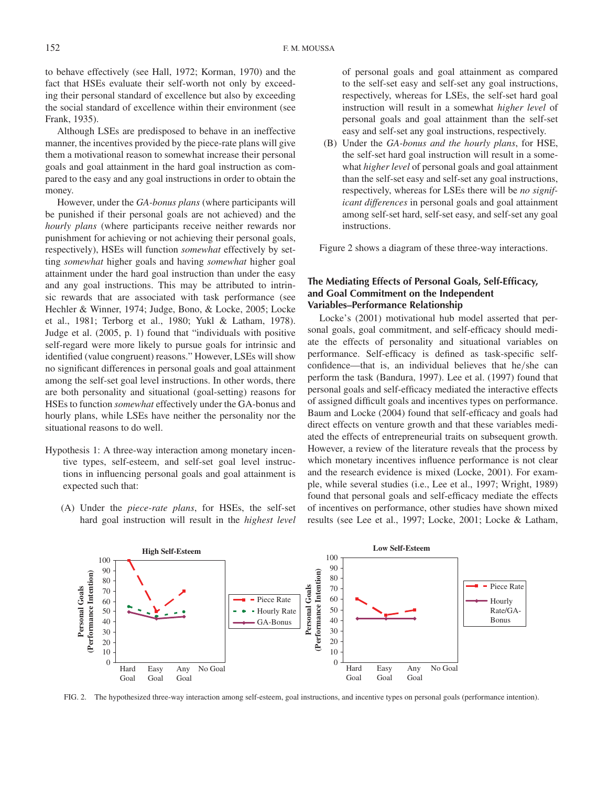to behave effectively (see Hall, 1972; Korman, 1970) and the fact that HSEs evaluate their self-worth not only by exceeding their personal standard of excellence but also by exceeding the social standard of excellence within their environment (see Frank, 1935).

Although LSEs are predisposed to behave in an ineffective manner, the incentives provided by the piece-rate plans will give them a motivational reason to somewhat increase their personal goals and goal attainment in the hard goal instruction as compared to the easy and any goal instructions in order to obtain the money.

However, under the *GA-bonus plans* (where participants will be punished if their personal goals are not achieved) and the *hourly plans* (where participants receive neither rewards nor punishment for achieving or not achieving their personal goals, respectively), HSEs will function *somewhat* effectively by setting *somewhat* higher goals and having *somewhat* higher goal attainment under the hard goal instruction than under the easy and any goal instructions. This may be attributed to intrinsic rewards that are associated with task performance (see Hechler & Winner, 1974; Judge, Bono, & Locke, 2005; Locke et al., 1981; Terborg et al., 1980; Yukl & Latham, 1978). Judge et al. (2005, p. 1) found that "individuals with positive self-regard were more likely to pursue goals for intrinsic and identified (value congruent) reasons." However, LSEs will show no significant differences in personal goals and goal attainment among the self-set goal level instructions. In other words, there are both personality and situational (goal-setting) reasons for HSEs to function *somewhat* effectively under the GA-bonus and hourly plans, while LSEs have neither the personality nor the situational reasons to do well.

- Hypothesis 1: A three-way interaction among monetary incentive types, self-esteem, and self-set goal level instructions in influencing personal goals and goal attainment is expected such that:
	- (A) Under the *piece-rate plans*, for HSEs, the self-set hard goal instruction will result in the *highest level*

of personal goals and goal attainment as compared to the self-set easy and self-set any goal instructions, respectively, whereas for LSEs, the self-set hard goal instruction will result in a somewhat *higher level* of personal goals and goal attainment than the self-set easy and self-set any goal instructions, respectively.

(B) Under the *GA-bonus and the hourly plans*, for HSE, the self-set hard goal instruction will result in a somewhat *higher level* of personal goals and goal attainment than the self-set easy and self-set any goal instructions, respectively, whereas for LSEs there will be *no significant differences* in personal goals and goal attainment among self-set hard, self-set easy, and self-set any goal instructions.

Figure 2 shows a diagram of these three-way interactions.

# **The Mediating Effects of Personal Goals, Self-Efficacy, and Goal Commitment on the Independent Variables–Performance Relationship**

Locke's (2001) motivational hub model asserted that personal goals, goal commitment, and self-efficacy should mediate the effects of personality and situational variables on performance. Self-efficacy is defined as task-specific selfconfidence—that is, an individual believes that he/she can perform the task (Bandura, 1997). Lee et al. (1997) found that personal goals and self-efficacy mediated the interactive effects of assigned difficult goals and incentives types on performance. Baum and Locke (2004) found that self-efficacy and goals had direct effects on venture growth and that these variables mediated the effects of entrepreneurial traits on subsequent growth. However, a review of the literature reveals that the process by which monetary incentives influence performance is not clear and the research evidence is mixed (Locke, 2001). For example, while several studies (i.e., Lee et al., 1997; Wright, 1989) found that personal goals and self-efficacy mediate the effects of incentives on performance, other studies have shown mixed results (see Lee et al., 1997; Locke, 2001; Locke & Latham,



FIG. 2. The hypothesized three-way interaction among self-esteem, goal instructions, and incentive types on personal goals (performance intention).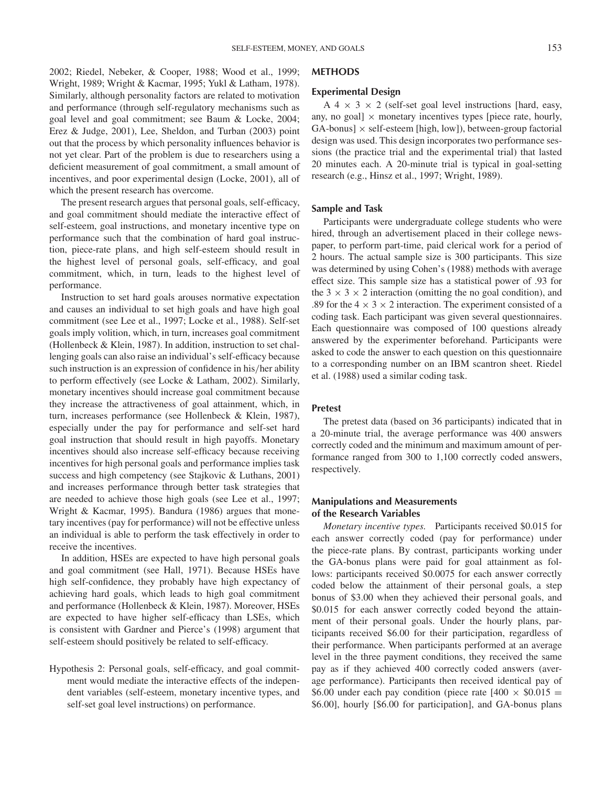2002; Riedel, Nebeker, & Cooper, 1988; Wood et al., 1999; Wright, 1989; Wright & Kacmar, 1995; Yukl & Latham, 1978). Similarly, although personality factors are related to motivation and performance (through self-regulatory mechanisms such as goal level and goal commitment; see Baum & Locke, 2004; Erez & Judge, 2001), Lee, Sheldon, and Turban (2003) point out that the process by which personality influences behavior is not yet clear. Part of the problem is due to researchers using a deficient measurement of goal commitment, a small amount of incentives, and poor experimental design (Locke, 2001), all of which the present research has overcome.

The present research argues that personal goals, self-efficacy, and goal commitment should mediate the interactive effect of self-esteem, goal instructions, and monetary incentive type on performance such that the combination of hard goal instruction, piece-rate plans, and high self-esteem should result in the highest level of personal goals, self-efficacy, and goal commitment, which, in turn, leads to the highest level of performance.

Instruction to set hard goals arouses normative expectation and causes an individual to set high goals and have high goal commitment (see Lee et al., 1997; Locke et al., 1988). Self-set goals imply volition, which, in turn, increases goal commitment (Hollenbeck & Klein, 1987). In addition, instruction to set challenging goals can also raise an individual's self-efficacy because such instruction is an expression of confidence in his/her ability to perform effectively (see Locke & Latham, 2002). Similarly, monetary incentives should increase goal commitment because they increase the attractiveness of goal attainment, which, in turn, increases performance (see Hollenbeck & Klein, 1987), especially under the pay for performance and self-set hard goal instruction that should result in high payoffs. Monetary incentives should also increase self-efficacy because receiving incentives for high personal goals and performance implies task success and high competency (see Stajkovic & Luthans, 2001) and increases performance through better task strategies that are needed to achieve those high goals (see Lee et al., 1997; Wright & Kacmar, 1995). Bandura (1986) argues that monetary incentives (pay for performance) will not be effective unless an individual is able to perform the task effectively in order to receive the incentives.

In addition, HSEs are expected to have high personal goals and goal commitment (see Hall, 1971). Because HSEs have high self-confidence, they probably have high expectancy of achieving hard goals, which leads to high goal commitment and performance (Hollenbeck & Klein, 1987). Moreover, HSEs are expected to have higher self-efficacy than LSEs, which is consistent with Gardner and Pierce's (1998) argument that self-esteem should positively be related to self-efficacy.

Hypothesis 2: Personal goals, self-efficacy, and goal commitment would mediate the interactive effects of the independent variables (self-esteem, monetary incentive types, and self-set goal level instructions) on performance.

## **METHODS**

#### **Experimental Design**

A 4  $\times$  3  $\times$  2 (self-set goal level instructions [hard, easy, any, no goal]  $\times$  monetary incentives types [piece rate, hourly,  $GA$ -bonus]  $\times$  self-esteem [high, low]), between-group factorial design was used. This design incorporates two performance sessions (the practice trial and the experimental trial) that lasted 20 minutes each. A 20-minute trial is typical in goal-setting research (e.g., Hinsz et al., 1997; Wright, 1989).

#### **Sample and Task**

Participants were undergraduate college students who were hired, through an advertisement placed in their college newspaper, to perform part-time, paid clerical work for a period of 2 hours. The actual sample size is 300 participants. This size was determined by using Cohen's (1988) methods with average effect size. This sample size has a statistical power of .93 for the  $3 \times 3 \times 2$  interaction (omitting the no goal condition), and .89 for the 4  $\times$  3  $\times$  2 interaction. The experiment consisted of a coding task. Each participant was given several questionnaires. Each questionnaire was composed of 100 questions already answered by the experimenter beforehand. Participants were asked to code the answer to each question on this questionnaire to a corresponding number on an IBM scantron sheet. Riedel et al. (1988) used a similar coding task.

#### **Pretest**

The pretest data (based on 36 participants) indicated that in a 20-minute trial, the average performance was 400 answers correctly coded and the minimum and maximum amount of performance ranged from 300 to 1,100 correctly coded answers, respectively.

# **Manipulations and Measurements of the Research Variables**

*Monetary incentive types.* Participants received \$0.015 for each answer correctly coded (pay for performance) under the piece-rate plans. By contrast, participants working under the GA-bonus plans were paid for goal attainment as follows: participants received \$0.0075 for each answer correctly coded below the attainment of their personal goals, a step bonus of \$3.00 when they achieved their personal goals, and \$0.015 for each answer correctly coded beyond the attainment of their personal goals. Under the hourly plans, participants received \$6.00 for their participation, regardless of their performance. When participants performed at an average level in the three payment conditions, they received the same pay as if they achieved 400 correctly coded answers (average performance). Participants then received identical pay of \$6.00 under each pay condition (piece rate  $[400 \times $0.015 =$ \$6.00], hourly [\$6.00 for participation], and GA-bonus plans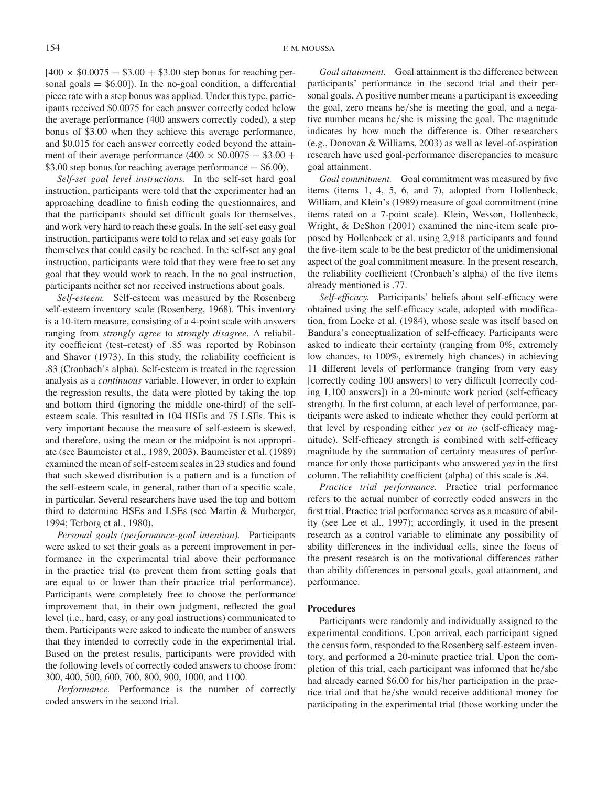$[400 \times $0.0075 = $3.00 + $3.00$  step bonus for reaching personal goals  $=$  \$6.00]). In the no-goal condition, a differential piece rate with a step bonus was applied. Under this type, participants received \$0.0075 for each answer correctly coded below the average performance (400 answers correctly coded), a step bonus of \$3.00 when they achieve this average performance, and \$0.015 for each answer correctly coded beyond the attainment of their average performance  $(400 \times $0.0075 = $3.00 +$ \$3.00 step bonus for reaching average performance  $=$  \$6.00).

*Self-set goal level instructions.* In the self-set hard goal instruction, participants were told that the experimenter had an approaching deadline to finish coding the questionnaires, and that the participants should set difficult goals for themselves, and work very hard to reach these goals. In the self-set easy goal instruction, participants were told to relax and set easy goals for themselves that could easily be reached. In the self-set any goal instruction, participants were told that they were free to set any goal that they would work to reach. In the no goal instruction, participants neither set nor received instructions about goals.

*Self-esteem.* Self-esteem was measured by the Rosenberg self-esteem inventory scale (Rosenberg, 1968). This inventory is a 10-item measure, consisting of a 4-point scale with answers ranging from *strongly agree* to *strongly disagree*. A reliability coefficient (test–retest) of .85 was reported by Robinson and Shaver (1973). In this study, the reliability coefficient is .83 (Cronbach's alpha). Self-esteem is treated in the regression analysis as a *continuous* variable. However, in order to explain the regression results, the data were plotted by taking the top and bottom third (ignoring the middle one-third) of the selfesteem scale. This resulted in 104 HSEs and 75 LSEs. This is very important because the measure of self-esteem is skewed, and therefore, using the mean or the midpoint is not appropriate (see Baumeister et al., 1989, 2003). Baumeister et al. (1989) examined the mean of self-esteem scales in 23 studies and found that such skewed distribution is a pattern and is a function of the self-esteem scale, in general, rather than of a specific scale, in particular. Several researchers have used the top and bottom third to determine HSEs and LSEs (see Martin & Murberger, 1994; Terborg et al., 1980).

*Personal goals (performance-goal intention).* Participants were asked to set their goals as a percent improvement in performance in the experimental trial above their performance in the practice trial (to prevent them from setting goals that are equal to or lower than their practice trial performance). Participants were completely free to choose the performance improvement that, in their own judgment, reflected the goal level (i.e., hard, easy, or any goal instructions) communicated to them. Participants were asked to indicate the number of answers that they intended to correctly code in the experimental trial. Based on the pretest results, participants were provided with the following levels of correctly coded answers to choose from: 300, 400, 500, 600, 700, 800, 900, 1000, and 1100.

*Performance.* Performance is the number of correctly coded answers in the second trial.

*Goal attainment.* Goal attainment is the difference between participants' performance in the second trial and their personal goals. A positive number means a participant is exceeding the goal, zero means he/she is meeting the goal, and a negative number means he/she is missing the goal. The magnitude indicates by how much the difference is. Other researchers (e.g., Donovan & Williams, 2003) as well as level-of-aspiration research have used goal-performance discrepancies to measure goal attainment.

*Goal commitment.* Goal commitment was measured by five items (items 1, 4, 5, 6, and 7), adopted from Hollenbeck, William, and Klein's (1989) measure of goal commitment (nine items rated on a 7-point scale). Klein, Wesson, Hollenbeck, Wright, & DeShon (2001) examined the nine-item scale proposed by Hollenbeck et al. using 2,918 participants and found the five-item scale to be the best predictor of the unidimensional aspect of the goal commitment measure. In the present research, the reliability coefficient (Cronbach's alpha) of the five items already mentioned is .77.

*Self-efficacy.* Participants' beliefs about self-efficacy were obtained using the self-efficacy scale, adopted with modification, from Locke et al. (1984), whose scale was itself based on Bandura's conceptualization of self-efficacy. Participants were asked to indicate their certainty (ranging from 0%, extremely low chances, to 100%, extremely high chances) in achieving 11 different levels of performance (ranging from very easy [correctly coding 100 answers] to very difficult [correctly coding 1,100 answers]) in a 20-minute work period (self-efficacy strength). In the first column, at each level of performance, participants were asked to indicate whether they could perform at that level by responding either *yes* or *no* (self-efficacy magnitude). Self-efficacy strength is combined with self-efficacy magnitude by the summation of certainty measures of performance for only those participants who answered *yes* in the first column. The reliability coefficient (alpha) of this scale is .84.

*Practice trial performance.* Practice trial performance refers to the actual number of correctly coded answers in the first trial. Practice trial performance serves as a measure of ability (see Lee et al., 1997); accordingly, it used in the present research as a control variable to eliminate any possibility of ability differences in the individual cells, since the focus of the present research is on the motivational differences rather than ability differences in personal goals, goal attainment, and performance.

#### **Procedures**

Participants were randomly and individually assigned to the experimental conditions. Upon arrival, each participant signed the census form, responded to the Rosenberg self-esteem inventory, and performed a 20-minute practice trial. Upon the completion of this trial, each participant was informed that he/she had already earned \$6.00 for his/her participation in the practice trial and that he/she would receive additional money for participating in the experimental trial (those working under the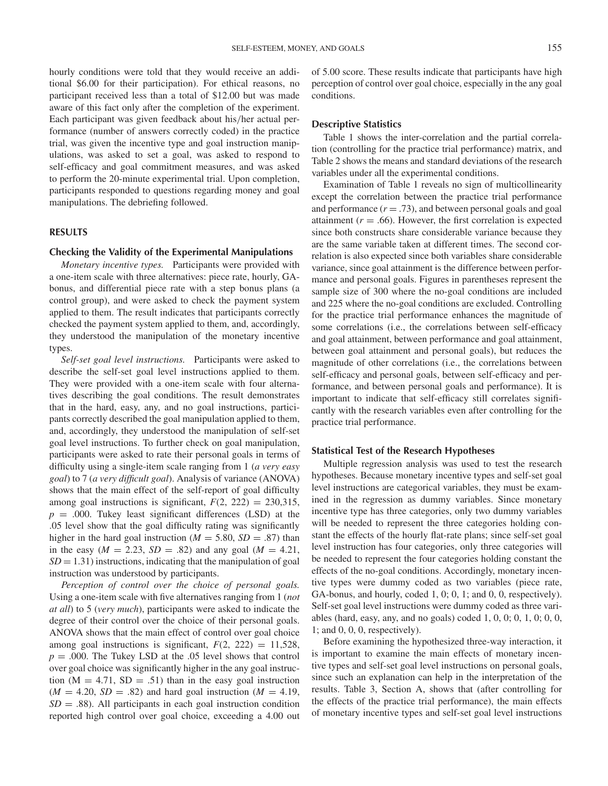hourly conditions were told that they would receive an additional \$6.00 for their participation). For ethical reasons, no participant received less than a total of \$12.00 but was made aware of this fact only after the completion of the experiment. Each participant was given feedback about his/her actual performance (number of answers correctly coded) in the practice trial, was given the incentive type and goal instruction manipulations, was asked to set a goal, was asked to respond to self-efficacy and goal commitment measures, and was asked to perform the 20-minute experimental trial. Upon completion, participants responded to questions regarding money and goal manipulations. The debriefing followed.

#### **RESULTS**

#### **Checking the Validity of the Experimental Manipulations**

*Monetary incentive types.* Participants were provided with a one-item scale with three alternatives: piece rate, hourly, GAbonus, and differential piece rate with a step bonus plans (a control group), and were asked to check the payment system applied to them. The result indicates that participants correctly checked the payment system applied to them, and, accordingly, they understood the manipulation of the monetary incentive types.

*Self-set goal level instructions.* Participants were asked to describe the self-set goal level instructions applied to them. They were provided with a one-item scale with four alternatives describing the goal conditions. The result demonstrates that in the hard, easy, any, and no goal instructions, participants correctly described the goal manipulation applied to them, and, accordingly, they understood the manipulation of self-set goal level instructions. To further check on goal manipulation, participants were asked to rate their personal goals in terms of difficulty using a single-item scale ranging from 1 (*a very easy goal*) to 7 (*a very difficult goal*). Analysis of variance (ANOVA) shows that the main effect of the self-report of goal difficulty among goal instructions is significant,  $F(2, 222) = 230,315$ ,  $p = .000$ . Tukey least significant differences (LSD) at the .05 level show that the goal difficulty rating was significantly higher in the hard goal instruction ( $M = 5.80$ ,  $SD = .87$ ) than in the easy ( $M = 2.23$ ,  $SD = .82$ ) and any goal ( $M = 4.21$ ,  $SD = 1.31$ ) instructions, indicating that the manipulation of goal instruction was understood by participants.

*Perception of control over the choice of personal goals.* Using a one-item scale with five alternatives ranging from 1 (*not at all*) to 5 (*very much*), participants were asked to indicate the degree of their control over the choice of their personal goals. ANOVA shows that the main effect of control over goal choice among goal instructions is significant,  $F(2, 222) = 11,528$ ,  $p = .000$ . The Tukey LSD at the .05 level shows that control over goal choice was significantly higher in the any goal instruction  $(M = 4.71, SD = .51)$  than in the easy goal instruction  $(M = 4.20, SD = .82)$  and hard goal instruction  $(M = 4.19,$  $SD = .88$ ). All participants in each goal instruction condition reported high control over goal choice, exceeding a 4.00 out of 5.00 score. These results indicate that participants have high perception of control over goal choice, especially in the any goal conditions.

#### **Descriptive Statistics**

Table 1 shows the inter-correlation and the partial correlation (controlling for the practice trial performance) matrix, and Table 2 shows the means and standard deviations of the research variables under all the experimental conditions.

Examination of Table 1 reveals no sign of multicollinearity except the correlation between the practice trial performance and performance  $(r = .73)$ , and between personal goals and goal attainment  $(r = .66)$ . However, the first correlation is expected since both constructs share considerable variance because they are the same variable taken at different times. The second correlation is also expected since both variables share considerable variance, since goal attainment is the difference between performance and personal goals. Figures in parentheses represent the sample size of 300 where the no-goal conditions are included and 225 where the no-goal conditions are excluded. Controlling for the practice trial performance enhances the magnitude of some correlations (i.e., the correlations between self-efficacy and goal attainment, between performance and goal attainment, between goal attainment and personal goals), but reduces the magnitude of other correlations (i.e., the correlations between self-efficacy and personal goals, between self-efficacy and performance, and between personal goals and performance). It is important to indicate that self-efficacy still correlates significantly with the research variables even after controlling for the practice trial performance.

#### **Statistical Test of the Research Hypotheses**

Multiple regression analysis was used to test the research hypotheses. Because monetary incentive types and self-set goal level instructions are categorical variables, they must be examined in the regression as dummy variables. Since monetary incentive type has three categories, only two dummy variables will be needed to represent the three categories holding constant the effects of the hourly flat-rate plans; since self-set goal level instruction has four categories, only three categories will be needed to represent the four categories holding constant the effects of the no-goal conditions. Accordingly, monetary incentive types were dummy coded as two variables (piece rate, GA-bonus, and hourly, coded 1, 0; 0, 1; and 0, 0, respectively). Self-set goal level instructions were dummy coded as three variables (hard, easy, any, and no goals) coded  $1, 0, 0; 0, 1, 0; 0, 0$ , 1; and  $0, 0, 0$ , respectively).

Before examining the hypothesized three-way interaction, it is important to examine the main effects of monetary incentive types and self-set goal level instructions on personal goals, since such an explanation can help in the interpretation of the results. Table 3, Section A, shows that (after controlling for the effects of the practice trial performance), the main effects of monetary incentive types and self-set goal level instructions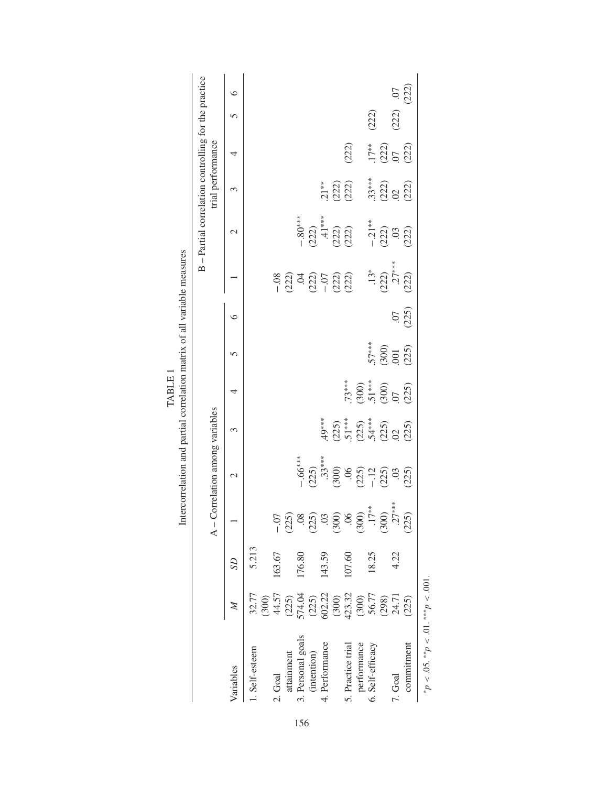|                   |                                |        |                  | Intercorrelation and partial correlation matrix of all variable measures |                                                                | TABLE 1                                   |                                    |         |                                                                          |                          |                                  |                                   |                                                      |
|-------------------|--------------------------------|--------|------------------|--------------------------------------------------------------------------|----------------------------------------------------------------|-------------------------------------------|------------------------------------|---------|--------------------------------------------------------------------------|--------------------------|----------------------------------|-----------------------------------|------------------------------------------------------|
|                   |                                |        |                  | A - Correlation among variables                                          |                                                                |                                           |                                    |         |                                                                          |                          | trial performance                |                                   | B - Partial correlation controlling for the practice |
| Variables         | $\boldsymbol{z}$               | SD     |                  | $\mathcal{C}$                                                            | 3                                                              | 4                                         | 5                                  | $\circ$ |                                                                          | $\mathcal{C}$            | 3                                | 4                                 | ৩<br>5                                               |
| 1. Self-esteem    | 32.77<br>(300)                 | 5.213  |                  |                                                                          |                                                                |                                           |                                    |         |                                                                          |                          |                                  |                                   |                                                      |
| 2. Goal           | 44.57                          | 163.67 | $-0.7$           |                                                                          |                                                                |                                           |                                    |         | $-0.8$                                                                   |                          |                                  |                                   |                                                      |
| attainment        |                                |        | (225)            |                                                                          |                                                                |                                           |                                    |         |                                                                          |                          |                                  |                                   |                                                      |
| 3. Personal goals | $(225)$<br>$574.04$<br>$(225)$ | 176.80 | .08              | $-0.66***$                                                               |                                                                |                                           |                                    |         |                                                                          | $-80***$                 |                                  |                                   |                                                      |
| (intention)       |                                |        | (225)            | (225)                                                                    |                                                                |                                           |                                    |         |                                                                          | (222)                    |                                  |                                   |                                                      |
| 4. Performance    | 602.22                         | 143.59 | $\ddot{0}$       |                                                                          | $49***$                                                        |                                           |                                    |         |                                                                          |                          |                                  |                                   |                                                      |
|                   |                                |        | (300)            |                                                                          |                                                                |                                           |                                    |         |                                                                          |                          |                                  |                                   |                                                      |
| 5. Practice trial | $(300)$<br>423.32              | 107.60 | $\overline{.06}$ | $33***$<br>$(300)$<br>$(0.06)$<br>$(225)$<br>$-12$<br>$(235)$<br>$(33)$  | $(225)$<br>$.51***$<br>$(225)$<br>$.54***$<br>$(225)$<br>$.02$ | $.73***$                                  |                                    |         | $\begin{array}{l} (222) \\ (222) \\ (222) \\ (-07) \\ (222) \end{array}$ | .41***<br>(222)<br>(222) | $\frac{1}{21}$<br>(222)<br>(222) | (222)                             |                                                      |
| performance       | (300)                          |        | (300)            |                                                                          |                                                                |                                           |                                    |         |                                                                          |                          |                                  |                                   |                                                      |
| 6. Self-efficacy  | 56.77                          | 18.25  | $.17**$          |                                                                          |                                                                |                                           |                                    |         |                                                                          |                          | $.33***$                         |                                   | (222)                                                |
|                   | (298)                          |        | (300)            |                                                                          |                                                                | $(300)$<br>$51***$<br>$(300)$<br>$(0.07)$ |                                    |         | $\frac{13}{222}$                                                         | $-21**$<br>(222)         | $(222)$<br>$.02$                 | $17**$<br>(222)<br>(322)<br>(222) |                                                      |
| 7. Goal           | 24.71                          | 4.22   | $.27***$         |                                                                          |                                                                |                                           |                                    | 50.     | $.27***$                                                                 | $\ddot{\Omega}$          |                                  |                                   | (222) 07                                             |
| commitment        | (225)                          |        | (225)            | (225)                                                                    | (225)                                                          | (225)                                     | $57***$<br>(300)<br>(300)<br>(325) | (225)   | (222)                                                                    | (222)                    | (222)                            |                                   | (222)                                                |
|                   |                                |        |                  |                                                                          |                                                                |                                           |                                    |         |                                                                          |                          |                                  |                                   |                                                      |

| <b>TABLE</b> | prelation and partial correlation matrix of all variable m |
|--------------|------------------------------------------------------------|
|              |                                                            |
|              |                                                            |
|              |                                                            |

156

 ${}^*p$  < .05.  ${}^{**}p$  < .01.  ${}^{***}p$  < .001. ∗*p* < .05. ∗∗*p* < .01. ∗∗∗*p* < .001.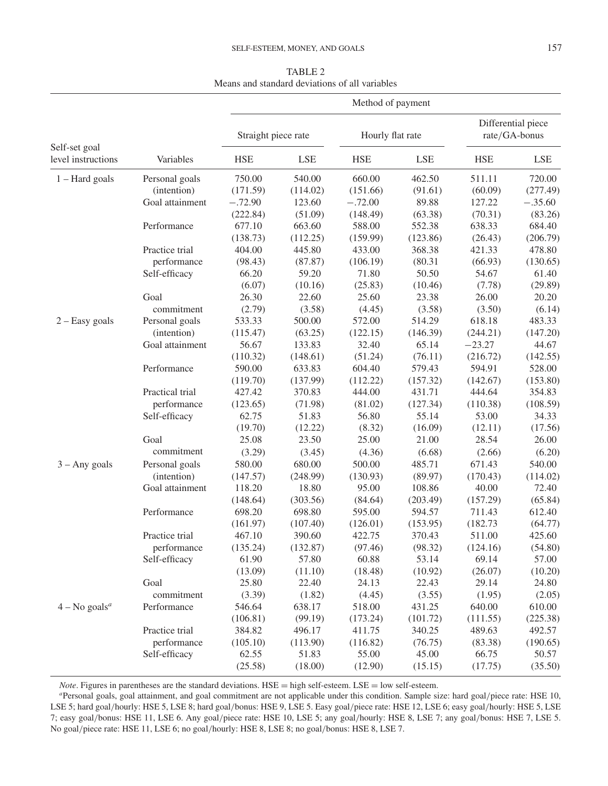## SELF-ESTEEM, MONEY, AND GOALS 157

TABLE 2 Means and standard deviations of all variables

|                                     |                 |                     |            | Method of payment |            |            |                                     |
|-------------------------------------|-----------------|---------------------|------------|-------------------|------------|------------|-------------------------------------|
|                                     |                 | Straight piece rate |            | Hourly flat rate  |            |            | Differential piece<br>rate/GA-bonus |
| Self-set goal<br>level instructions | Variables       | <b>HSE</b>          | <b>LSE</b> | <b>HSE</b>        | <b>LSE</b> | <b>HSE</b> | <b>LSE</b>                          |
| $1 - Hard$ goals                    | Personal goals  | 750.00              | 540.00     | 660.00            | 462.50     | 511.11     | 720.00                              |
|                                     | (intention)     | (171.59)            | (114.02)   | (151.66)          | (91.61)    | (60.09)    | (277.49)                            |
|                                     | Goal attainment | $-.72.90$           | 123.60     | $-.72.00$         | 89.88      | 127.22     | $-.35.60$                           |
|                                     |                 | (222.84)            | (51.09)    | (148.49)          | (63.38)    | (70.31)    | (83.26)                             |
|                                     | Performance     | 677.10              | 663.60     | 588.00            | 552.38     | 638.33     | 684.40                              |
|                                     |                 | (138.73)            | (112.25)   | (159.99)          | (123.86)   | (26.43)    | (206.79)                            |
|                                     | Practice trial  | 404.00              | 445.80     | 433.00            | 368.38     | 421.33     | 478.80                              |
|                                     | performance     | (98.43)             | (87.87)    | (106.19)          | (80.31)    | (66.93)    | (130.65)                            |
|                                     | Self-efficacy   | 66.20               | 59.20      | 71.80             | 50.50      | 54.67      | 61.40                               |
|                                     |                 | (6.07)              | (10.16)    | (25.83)           | (10.46)    | (7.78)     | (29.89)                             |
|                                     | Goal            | 26.30               | 22.60      | 25.60             | 23.38      | 26.00      | 20.20                               |
|                                     | commitment      | (2.79)              | (3.58)     | (4.45)            | (3.58)     | (3.50)     | (6.14)                              |
| $2 - Easy$ goals                    | Personal goals  | 533.33              | 500.00     | 572.00            | 514.29     | 618.18     | 483.33                              |
|                                     | (intention)     | (115.47)            | (63.25)    | (122.15)          | (146.39)   | (244.21)   | (147.20)                            |
|                                     | Goal attainment | 56.67               | 133.83     | 32.40             | 65.14      | $-23.27$   | 44.67                               |
|                                     |                 | (110.32)            | (148.61)   | (51.24)           | (76.11)    | (216.72)   | (142.55)                            |
|                                     | Performance     | 590.00              | 633.83     | 604.40            | 579.43     | 594.91     | 528.00                              |
|                                     |                 | (119.70)            | (137.99)   | (112.22)          | (157.32)   | (142.67)   | (153.80)                            |
|                                     | Practical trial | 427.42              | 370.83     | 444.00            | 431.71     | 444.64     | 354.83                              |
|                                     | performance     | (123.65)            | (71.98)    | (81.02)           | (127.34)   | (110.38)   | (108.59)                            |
|                                     | Self-efficacy   | 62.75               | 51.83      | 56.80             | 55.14      | 53.00      | 34.33                               |
|                                     |                 | (19.70)             | (12.22)    | (8.32)            | (16.09)    | (12.11)    | (17.56)                             |
|                                     | Goal            | 25.08               | 23.50      | 25.00             | 21.00      | 28.54      | 26.00                               |
|                                     | commitment      | (3.29)              | (3.45)     | (4.36)            | (6.68)     | (2.66)     | (6.20)                              |
| $3 - Any goals$                     | Personal goals  | 580.00              | 680.00     | 500.00            | 485.71     | 671.43     | 540.00                              |
|                                     | (intention)     | (147.57)            | (248.99)   | (130.93)          | (89.97)    | (170.43)   | (114.02)                            |
|                                     | Goal attainment | 118.20              | 18.80      | 95.00             | 108.86     | 40.00      | 72.40                               |
|                                     |                 | (148.64)            | (303.56)   | (84.64)           | (203.49)   | (157.29)   | (65.84)                             |
|                                     | Performance     | 698.20              | 698.80     | 595.00            | 594.57     | 711.43     | 612.40                              |
|                                     |                 | (161.97)            | (107.40)   | (126.01)          | (153.95)   | (182.73)   | (64.77)                             |
|                                     | Practice trial  | 467.10              | 390.60     | 422.75            | 370.43     | 511.00     | 425.60                              |
|                                     | performance     | (135.24)            | (132.87)   | (97.46)           | (98.32)    | (124.16)   | (54.80)                             |
|                                     | Self-efficacy   | 61.90               | 57.80      | 60.88             | 53.14      | 69.14      | 57.00                               |
|                                     |                 | (13.09)             | (11.10)    | (18.48)           | (10.92)    | (26.07)    | (10.20)                             |
|                                     | Goal            | 25.80               | 22.40      | 24.13             | 22.43      | 29.14      | 24.80                               |
|                                     | commitment      | (3.39)              | (1.82)     | (4.45)            | (3.55)     | (1.95)     | (2.05)                              |
| $4 - No$ goals <sup>a</sup>         | Performance     | 546.64              | 638.17     | 518.00            | 431.25     | 640.00     | 610.00                              |
|                                     |                 | (106.81)            | (99.19)    | (173.24)          | (101.72)   | (111.55)   | (225.38)                            |
|                                     | Practice trial  | 384.82              | 496.17     | 411.75            | 340.25     | 489.63     | 492.57                              |
|                                     | performance     | (105.10)            | (113.90)   | (116.82)          | (76.75)    | (83.38)    | (190.65)                            |
|                                     | Self-efficacy   | 62.55               | 51.83      | 55.00             | 45.00      | 66.75      | 50.57                               |
|                                     |                 | (25.58)             | (18.00)    | (12.90)           | (15.15)    | (17.75)    | (35.50)                             |

*Note*. Figures in parentheses are the standard deviations.  $HSE = high self-esteem$ .  $LSE = low self-esteem$ .<br>"Personal goals, goal attainment, and goal commitment are not applicable under this condition. Sample size: hard goal/piece rate: HSE 1 LSE 5; hard goal/hourly: HSE 5, LSE 8; hard goal/bonus: HSE 9, LSE 5. Easy goal/piece rate: HSE 12, LSE 6; easy goal/hourly: HSE 5, LSE 7; easy goal/bonus: HSE 11, LSE 6. Any goal/piece rate: HSE 10, LSE 5; any goal/hourly: HSE 8, LSE 7; any goal/bonus: HSE 7, LSE 5. No goal/piece rate: HSE 11, LSE 6; no goal/hourly: HSE 8, LSE 8; no goal/bonus: HSE 8, LSE 7.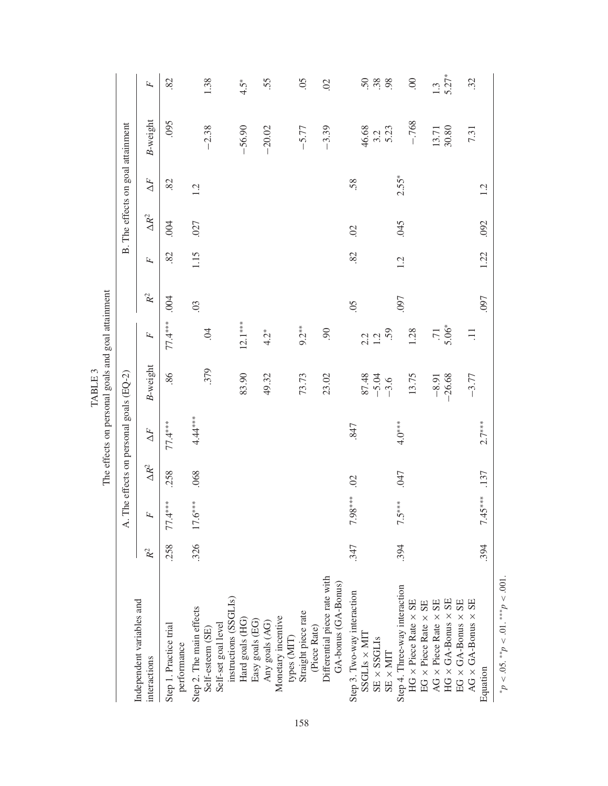|                                                                                                                                                                                   |                 |           |                |                                         | The effects on personal goals and goal attainment<br>THUNTI |                      |                             |      |                                   |            |                          |                       |
|-----------------------------------------------------------------------------------------------------------------------------------------------------------------------------------|-----------------|-----------|----------------|-----------------------------------------|-------------------------------------------------------------|----------------------|-----------------------------|------|-----------------------------------|------------|--------------------------|-----------------------|
|                                                                                                                                                                                   |                 |           |                | A. The effects on personal goals (EQ-2) |                                                             |                      |                             |      | B. The effects on goal attainment |            |                          |                       |
| Independent variables and<br>interactions                                                                                                                                         | $\mathcal{R}^2$ | Ŀ         | $\Delta R^2$   | $\Delta F$                              | B-weight                                                    | Ŀ,                   | $\ensuremath{\mathbb{R}}^2$ | F    | $\Delta R^2$                      | $\Delta F$ | B-weight                 | F                     |
| Step 1. Practice trial<br>performance                                                                                                                                             | 258             | $77.4***$ | .258           | 77.4***                                 | 86                                                          | $77.4***$            | .004                        | .82  | .004                              | .82        | 095                      | 82                    |
| Step 2. The main effects<br>Self-set goal level<br>Self-esteem (SE)                                                                                                               |                 | $17.6***$ | .068           | $4.44***$                               | .379                                                        | 04                   | $\overline{0}$              | 1.15 | .027                              | 1.2        | $-2.38$                  | 1.38                  |
| instructions (SSGLIs)<br>Hard goals (HG)<br>Easy goals (EG)                                                                                                                       |                 |           |                |                                         | 83.90                                                       | $12.1***$            |                             |      |                                   |            | $-56.90$                 | $4.5*$                |
| Monetary incentive<br>Any goals (AG)                                                                                                                                              |                 |           |                |                                         | 49.32                                                       | $4.2*$               |                             |      |                                   |            | $-20.02$                 | 55.                   |
| Straight piece rate<br>(Piece Rate)<br>types (MIT)                                                                                                                                |                 |           |                |                                         | 73.73                                                       | $9.2**$              |                             |      |                                   |            | $-5.77$                  | $\overline{0}$        |
| Differential piece rate with<br>GA-bonus (GA-Bonus)                                                                                                                               |                 |           |                |                                         | 23.02                                                       | 90                   |                             |      |                                   |            | $-3.39$                  | $\mathcal{S}$         |
| Step 3. Two-way interaction<br>$SGLIs \times MIT$<br>$\begin{aligned} \text{SE} \times \text{SSGLIs} \\ \text{SE} \times \text{MIT} \end{aligned}$                                | 347             | $7.98***$ | $\overline{S}$ | .847                                    | $-5.04$<br>$-3.6$<br>87.48                                  | 59<br>2.2<br>$1.2\,$ | 05                          | .82  | $\overline{0}$                    | .58        | 46.68<br>$3.2$<br>$5.23$ | 5, 3, 3               |
| Step 4. Three-way interaction<br>$HG \times Piece$ Rate $\times$ SE<br>EG $\times$ Piece Rate $\times$ SE                                                                         | 394             | $7.5***$  | <b>CFO</b>     | $4.0***$                                | 13.75                                                       | 1.28                 | <b>L60</b>                  | 1.2  | 045                               | $2.55*$    | $-.768$                  | $\odot$               |
| $\begin{array}{lcl} \text{AG}\times \text{Pice} & \text{Rate}\times \text{SE} \\ \text{HG}\times \text{GA-Bonus}\times \text{SE} \end{array}$<br>EG $\times$ GA-Bonus $\times$ SE |                 |           |                |                                         | $-26.68$<br>$-8.91$                                         | $.71$<br>5.06*       |                             |      |                                   |            | 13.71<br>30.80           | $5.27*$<br>$\ddot{3}$ |
| AG $\times$ GA-Bonus $\times$ SE<br>Equation                                                                                                                                      | 394             | $7.45***$ | .137           | $2.7***$                                | $-3.77$                                                     | $\Xi$                | .097                        | 1.22 | 092                               | 1.2        | 7.31                     | 32                    |

TABLE 3 TABLE 3

158

∗*p* < .05. ∗∗*p* < .01. ∗∗∗*p* < .001.

 ${}^*p < .05.$   ${}^{**}p < .01.$   ${}^{***}p < .001.$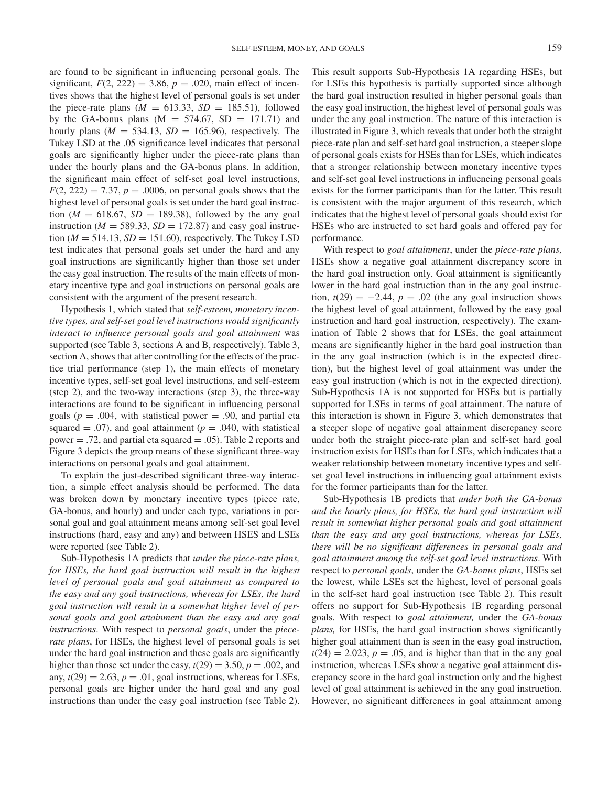are found to be significant in influencing personal goals. The significant,  $F(2, 222) = 3.86$ ,  $p = .020$ , main effect of incentives shows that the highest level of personal goals is set under the piece-rate plans  $(M = 613.33, SD = 185.51)$ , followed by the GA-bonus plans  $(M = 574.67, SD = 171.71)$  and hourly plans ( $M = 534.13$ ,  $SD = 165.96$ ), respectively. The Tukey LSD at the .05 significance level indicates that personal goals are significantly higher under the piece-rate plans than under the hourly plans and the GA-bonus plans. In addition, the significant main effect of self-set goal level instructions,  $F(2, 222) = 7.37, p = .0006$ , on personal goals shows that the highest level of personal goals is set under the hard goal instruction ( $M = 618.67$ ,  $SD = 189.38$ ), followed by the any goal instruction ( $M = 589.33$ ,  $SD = 172.87$ ) and easy goal instruction ( $M = 514.13$ ,  $SD = 151.60$ ), respectively. The Tukey LSD test indicates that personal goals set under the hard and any goal instructions are significantly higher than those set under the easy goal instruction. The results of the main effects of monetary incentive type and goal instructions on personal goals are consistent with the argument of the present research.

Hypothesis 1, which stated that *self-esteem, monetary incentive types, and self-set goal level instructions would significantly interact to influence personal goals and goal attainment* was supported (see Table 3, sections A and B, respectively). Table 3, section A, shows that after controlling for the effects of the practice trial performance (step 1), the main effects of monetary incentive types, self-set goal level instructions, and self-esteem (step 2), and the two-way interactions (step 3), the three-way interactions are found to be significant in influencing personal goals ( $p = .004$ , with statistical power  $= .90$ , and partial eta squared  $= .07$ ), and goal attainment ( $p = .040$ , with statistical power  $=$  .72, and partial eta squared  $=$  .05). Table 2 reports and Figure 3 depicts the group means of these significant three-way interactions on personal goals and goal attainment.

To explain the just-described significant three-way interaction, a simple effect analysis should be performed. The data was broken down by monetary incentive types (piece rate, GA-bonus, and hourly) and under each type, variations in personal goal and goal attainment means among self-set goal level instructions (hard, easy and any) and between HSES and LSEs were reported (see Table 2).

Sub-Hypothesis 1A predicts that *under the piece-rate plans, for HSEs, the hard goal instruction will result in the highest level of personal goals and goal attainment as compared to the easy and any goal instructions, whereas for LSEs, the hard goal instruction will result in a somewhat higher level of personal goals and goal attainment than the easy and any goal instructions*. With respect to *personal goals*, under the *piecerate plans*, for HSEs, the highest level of personal goals is set under the hard goal instruction and these goals are significantly higher than those set under the easy,  $t(29) = 3.50$ ,  $p = .002$ , and any,  $t(29) = 2.63$ ,  $p = .01$ , goal instructions, whereas for LSEs, personal goals are higher under the hard goal and any goal instructions than under the easy goal instruction (see Table 2). This result supports Sub-Hypothesis 1A regarding HSEs, but for LSEs this hypothesis is partially supported since although the hard goal instruction resulted in higher personal goals than the easy goal instruction, the highest level of personal goals was under the any goal instruction. The nature of this interaction is illustrated in Figure 3, which reveals that under both the straight piece-rate plan and self-set hard goal instruction, a steeper slope of personal goals exists for HSEs than for LSEs, which indicates that a stronger relationship between monetary incentive types and self-set goal level instructions in influencing personal goals exists for the former participants than for the latter. This result is consistent with the major argument of this research, which indicates that the highest level of personal goals should exist for HSEs who are instructed to set hard goals and offered pay for performance.

With respect to *goal attainment*, under the *piece-rate plans,* HSEs show a negative goal attainment discrepancy score in the hard goal instruction only. Goal attainment is significantly lower in the hard goal instruction than in the any goal instruction,  $t(29) = -2.44$ ,  $p = .02$  (the any goal instruction shows the highest level of goal attainment, followed by the easy goal instruction and hard goal instruction, respectively). The examination of Table 2 shows that for LSEs, the goal attainment means are significantly higher in the hard goal instruction than in the any goal instruction (which is in the expected direction), but the highest level of goal attainment was under the easy goal instruction (which is not in the expected direction). Sub-Hypothesis 1A is not supported for HSEs but is partially supported for LSEs in terms of goal attainment. The nature of this interaction is shown in Figure 3, which demonstrates that a steeper slope of negative goal attainment discrepancy score under both the straight piece-rate plan and self-set hard goal instruction exists for HSEs than for LSEs, which indicates that a weaker relationship between monetary incentive types and selfset goal level instructions in influencing goal attainment exists for the former participants than for the latter.

Sub-Hypothesis 1B predicts that *under both the GA-bonus and the hourly plans, for HSEs, the hard goal instruction will result in somewhat higher personal goals and goal attainment than the easy and any goal instructions, whereas for LSEs, there will be no significant differences in personal goals and goal attainment among the self-set goal level instructions*. With respect to *personal goals*, under the *GA-bonus plans*, HSEs set the lowest, while LSEs set the highest, level of personal goals in the self-set hard goal instruction (see Table 2). This result offers no support for Sub-Hypothesis 1B regarding personal goals. With respect to *goal attainment,* under the *GA-bonus plans,* for HSEs, the hard goal instruction shows significantly higher goal attainment than is seen in the easy goal instruction,  $t(24) = 2.023$ ,  $p = .05$ , and is higher than that in the any goal instruction, whereas LSEs show a negative goal attainment discrepancy score in the hard goal instruction only and the highest level of goal attainment is achieved in the any goal instruction. However, no significant differences in goal attainment among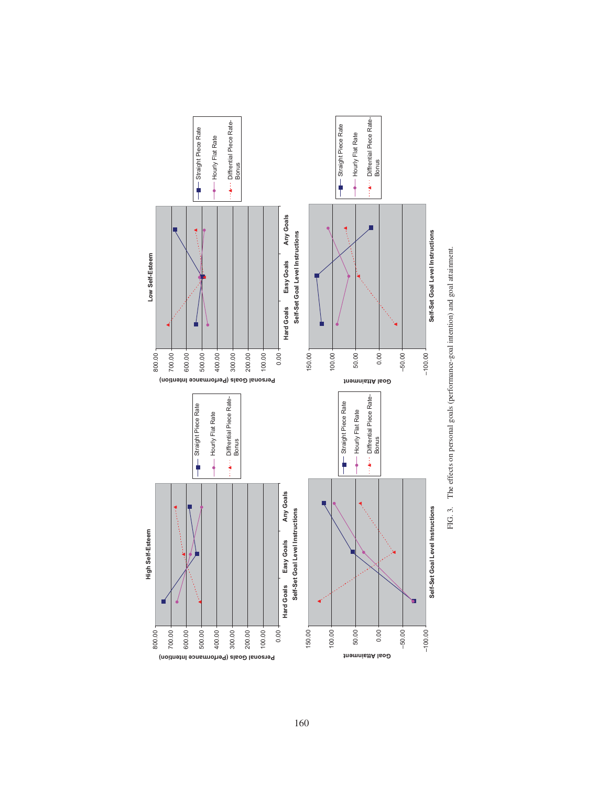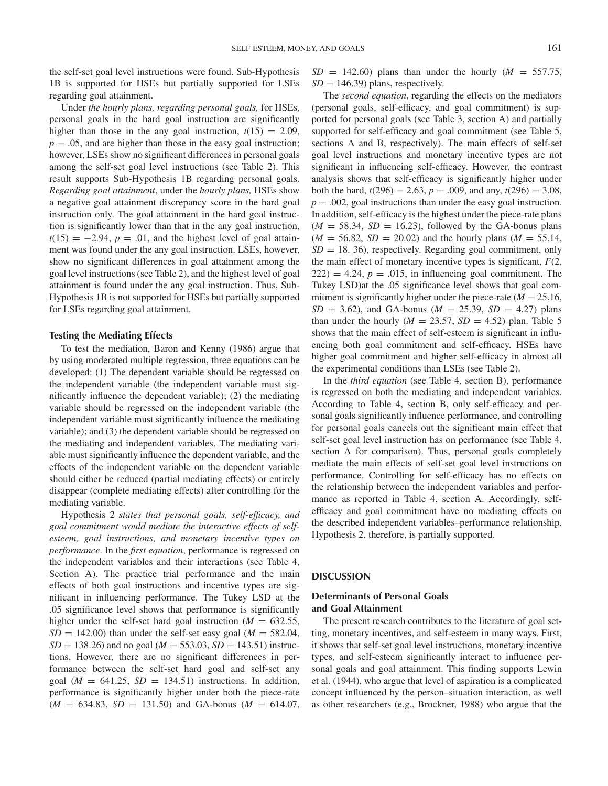the self-set goal level instructions were found. Sub-Hypothesis 1B is supported for HSEs but partially supported for LSEs regarding goal attainment.

Under *the hourly plans, regarding personal goals,* for HSEs, personal goals in the hard goal instruction are significantly higher than those in the any goal instruction,  $t(15) = 2.09$ ,  $p = 0.05$ , and are higher than those in the easy goal instruction; however, LSEs show no significant differences in personal goals among the self-set goal level instructions (see Table 2). This result supports Sub-Hypothesis 1B regarding personal goals. *Regarding goal attainment*, under the *hourly plans,* HSEs show a negative goal attainment discrepancy score in the hard goal instruction only. The goal attainment in the hard goal instruction is significantly lower than that in the any goal instruction,  $t(15) = -2.94$ ,  $p = .01$ , and the highest level of goal attainment was found under the any goal instruction. LSEs, however, show no significant differences in goal attainment among the goal level instructions (see Table 2), and the highest level of goal attainment is found under the any goal instruction. Thus, Sub-Hypothesis 1B is not supported for HSEs but partially supported for LSEs regarding goal attainment.

#### **Testing the Mediating Effects**

To test the mediation, Baron and Kenny (1986) argue that by using moderated multiple regression, three equations can be developed: (1) The dependent variable should be regressed on the independent variable (the independent variable must significantly influence the dependent variable); (2) the mediating variable should be regressed on the independent variable (the independent variable must significantly influence the mediating variable); and (3) the dependent variable should be regressed on the mediating and independent variables. The mediating variable must significantly influence the dependent variable, and the effects of the independent variable on the dependent variable should either be reduced (partial mediating effects) or entirely disappear (complete mediating effects) after controlling for the mediating variable.

Hypothesis 2 *states that personal goals, self-efficacy, and goal commitment would mediate the interactive effects of selfesteem, goal instructions, and monetary incentive types on performance*. In the *first equation*, performance is regressed on the independent variables and their interactions (see Table 4, Section A). The practice trial performance and the main effects of both goal instructions and incentive types are significant in influencing performance. The Tukey LSD at the .05 significance level shows that performance is significantly higher under the self-set hard goal instruction ( $M = 632.55$ ,  $SD = 142.00$ ) than under the self-set easy goal ( $M = 582.04$ ,  $SD = 138.26$ ) and no goal ( $M = 553.03$ ,  $SD = 143.51$ ) instructions. However, there are no significant differences in performance between the self-set hard goal and self-set any goal ( $M = 641.25$ ,  $SD = 134.51$ ) instructions. In addition, performance is significantly higher under both the piece-rate  $(M = 634.83, SD = 131.50)$  and GA-bonus  $(M = 614.07,$   $SD = 142.60$ ) plans than under the hourly ( $M = 557.75$ ,  $SD = 146.39$ ) plans, respectively.

The *second equation*, regarding the effects on the mediators (personal goals, self-efficacy, and goal commitment) is supported for personal goals (see Table 3, section A) and partially supported for self-efficacy and goal commitment (see Table 5, sections A and B, respectively). The main effects of self-set goal level instructions and monetary incentive types are not significant in influencing self-efficacy. However, the contrast analysis shows that self-efficacy is significantly higher under both the hard,  $t(296) = 2.63$ ,  $p = .009$ , and any,  $t(296) = 3.08$ ,  $p = 0.002$ , goal instructions than under the easy goal instruction. In addition, self-efficacy is the highest under the piece-rate plans  $(M = 58.34, SD = 16.23)$ , followed by the GA-bonus plans  $(M = 56.82, SD = 20.02)$  and the hourly plans  $(M = 55.14,$  $SD = 18$ . 36), respectively. Regarding goal commitment, only the main effect of monetary incentive types is significant, *F*(2,  $222$ ) = 4.24,  $p = .015$ , in influencing goal commitment. The Tukey LSD)at the .05 significance level shows that goal commitment is significantly higher under the piece-rate  $(M = 25.16,$  $SD = 3.62$ , and GA-bonus (*M* = 25.39, *SD* = 4.27) plans than under the hourly ( $M = 23.57$ ,  $SD = 4.52$ ) plan. Table 5 shows that the main effect of self-esteem is significant in influencing both goal commitment and self-efficacy. HSEs have higher goal commitment and higher self-efficacy in almost all the experimental conditions than LSEs (see Table 2).

In the *third equation* (see Table 4, section B), performance is regressed on both the mediating and independent variables. According to Table 4, section B, only self-efficacy and personal goals significantly influence performance, and controlling for personal goals cancels out the significant main effect that self-set goal level instruction has on performance (see Table 4, section A for comparison). Thus, personal goals completely mediate the main effects of self-set goal level instructions on performance. Controlling for self-efficacy has no effects on the relationship between the independent variables and performance as reported in Table 4, section A. Accordingly, selfefficacy and goal commitment have no mediating effects on the described independent variables–performance relationship. Hypothesis 2, therefore, is partially supported.

#### **DISCUSSION**

## **Determinants of Personal Goals and Goal Attainment**

The present research contributes to the literature of goal setting, monetary incentives, and self-esteem in many ways. First, it shows that self-set goal level instructions, monetary incentive types, and self-esteem significantly interact to influence personal goals and goal attainment. This finding supports Lewin et al. (1944), who argue that level of aspiration is a complicated concept influenced by the person–situation interaction, as well as other researchers (e.g., Brockner, 1988) who argue that the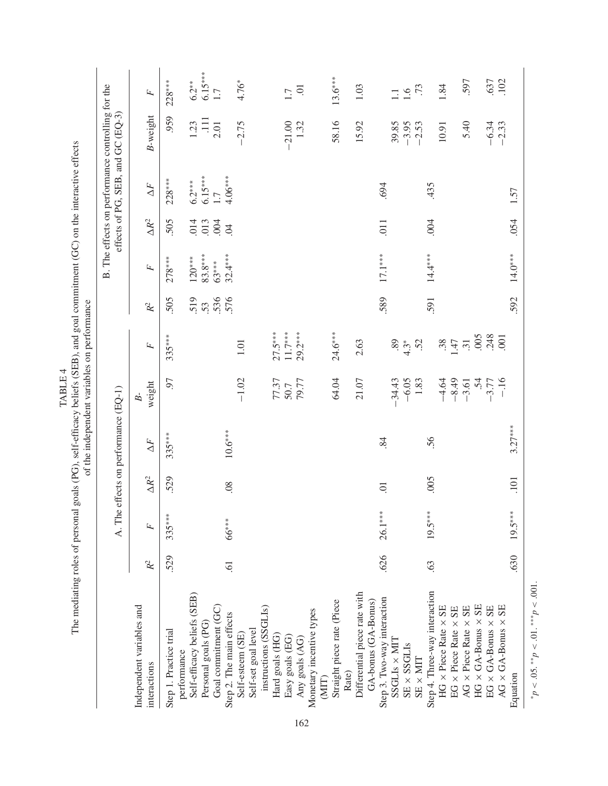|                                             |                |           |                | of the independent variables on performance |                          |                 |                |                      |                  |                                                                                          |                       |                     |
|---------------------------------------------|----------------|-----------|----------------|---------------------------------------------|--------------------------|-----------------|----------------|----------------------|------------------|------------------------------------------------------------------------------------------|-----------------------|---------------------|
|                                             |                |           |                | A. The effects on performance (EQ-1)        |                          |                 |                |                      |                  | B. The effects on performance controlling for the<br>effects of PG, SEB, and GC $(EQ-3)$ |                       |                     |
| Independent variables and<br>interactions   | $\mathbb{R}^2$ |           | $\Delta R^2$   | $\Delta F$                                  | weight<br>B <sub>1</sub> | F               | $\mathbb{R}^2$ | F                    | $\Delta R^2$     | $\Delta F$                                                                               | B-weight              | F                   |
| Step 1. Practice trial<br>performance       | 529            | $335***$  | 529            | $335***$                                    | 50                       | $335***$        | 505            | $278***$             | 505              | $228***$                                                                                 | 959                   | $228***$            |
| Self-efficacy beliefs (SEB)                 |                |           |                |                                             |                          |                 | 519            | $120***$             | .014             | $6.2***$                                                                                 | 1.23                  | $6.2***$            |
| Goal commitment (GC)<br>Personal goals (PG) |                |           |                |                                             |                          |                 | 536<br>53      | $83.8***$<br>$63***$ | .013<br>.004     | $6.15***$<br>$1.7\,$                                                                     | $\,$ 111 $\,$<br>2.01 | $6.15***$<br>1.7    |
| Step 2. The main effects                    | $\overline{6}$ | $66***$   | .08            | $10.6***$                                   |                          |                 | 576            | $32.4***$            | $\beta$          | $4.06***$                                                                                |                       |                     |
| Self-set goal level<br>Self-esteem (SE)     |                |           |                |                                             | $-1.02$                  | $1.01\,$        |                |                      |                  |                                                                                          | $-2.75$               | 4.76*               |
| instructions (SSGLIs)                       |                |           |                |                                             |                          |                 |                |                      |                  |                                                                                          |                       |                     |
| Hard goals (HG)                             |                |           |                |                                             |                          | $27.5***$       |                |                      |                  |                                                                                          |                       |                     |
| Easy goals (EG)                             |                |           |                |                                             | 77.37<br>50.7            | $11.7***$       |                |                      |                  |                                                                                          | $-21.00$              | $1.7\phantom{0}0.1$ |
| Any goals (AG)                              |                |           |                |                                             | 79.77                    | $29.2***$       |                |                      |                  |                                                                                          | 1.32                  |                     |
| Monetary incentive types<br>(MIT)           |                |           |                |                                             |                          |                 |                |                      |                  |                                                                                          |                       |                     |
|                                             |                |           |                |                                             |                          |                 |                |                      |                  |                                                                                          |                       |                     |
| Straight piece rate (Piece                  |                |           |                |                                             | 64.04                    | $24.6***$       |                |                      |                  |                                                                                          | 58.16                 | $13.6***$           |
| Rate)                                       |                |           |                |                                             |                          |                 |                |                      |                  |                                                                                          |                       |                     |
| Differential piece rate with                |                |           |                |                                             | 21.07                    | 2.63            |                |                      |                  |                                                                                          | 15.92                 | 1.03                |
| GA-bonus (GA-Bonus)                         |                |           |                |                                             |                          |                 |                |                      |                  |                                                                                          |                       |                     |
| Step 3. Two-way interaction                 | .626           | $26.1***$ | $\overline{0}$ | 84                                          |                          |                 | 589            | $17.1***$            | $\overline{011}$ | .694                                                                                     |                       |                     |
| $\text{SSGLIs}\times\text{MIT}$             |                |           |                |                                             | $-34.43$                 | 89              |                |                      |                  |                                                                                          | 39.85                 | $\overline{\Box}$   |
| $\text{SE} \times \text{SSGLIs}$            |                |           |                |                                             | $-6.05$                  | $4.3*$          |                |                      |                  |                                                                                          | $-3.95$               | $1.6$<br>.73        |
| $\text{SE} \times \text{MIT}$               |                |           |                |                                             | $1.83$                   | 52              |                |                      |                  |                                                                                          | $-2.53$               |                     |
| Step 4. Three-way interaction               | 63             | $19.5***$ | 005            | 56                                          |                          |                 | 591            | $14.4***$            | .004             | 435                                                                                      |                       |                     |
| HG $\times$ Piece Rate $\times$ SE          |                |           |                |                                             | $-4.64$                  | 38              |                |                      |                  |                                                                                          | 10.91                 | 1.84                |
| EG $\times$ Piece Rate $\times$ SE          |                |           |                |                                             | $-8.49$                  | 1.47            |                |                      |                  |                                                                                          |                       |                     |
| AG $\times$ Piece Rate $\times$ SE          |                |           |                |                                             | $-3.61$                  | $\overline{31}$ |                |                      |                  |                                                                                          | 5.40                  | 597                 |
| $HG \times GA-Bonus \times SE$              |                |           |                |                                             | $\dot{5}$                | .248            |                |                      |                  |                                                                                          |                       |                     |
| EG $\times$ GA-Bonus $\times$ SE            |                |           |                |                                             | $-3.77$                  |                 |                |                      |                  |                                                                                          | $-6.34$               | .637                |
| AG $\times$ GA-Bonus $\times$ SE            |                |           |                |                                             | $-16$                    | $\overline{0}$  |                |                      |                  |                                                                                          | $-2.33$               | .102                |
| Equation                                    | .630           | $19.5***$ | <b>.101</b>    | $3.27***$                                   |                          |                 | 592            | $14.0***$            | .054             | 1.57                                                                                     |                       |                     |

The mediating roles of personal goals (PG), self-efficacy beliefs (SEB), and goal commitment (GC) on the interactive effects The mediating roles of personal goals (PG), self-efficacy beliefs (SEB), and goal commitment (GC) on the interactive effects TABLE 4 TABLE 4

 $*_{p} < .05. **_{p} < .01. **_{p} < .001.$ ∗*p* < .05. ∗∗*p* < .01. ∗∗∗*p* < .001.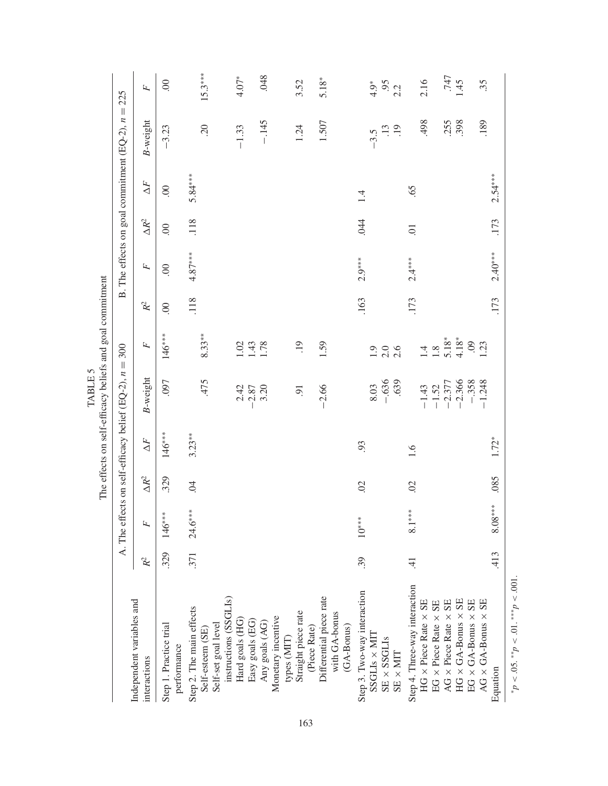|                                                                                                           |           |               |                 |            | The effects on self-efficacy beliefs and goal commitment<br>TABLE 5 |                            |         |           |                |            |                                                 |                        |
|-----------------------------------------------------------------------------------------------------------|-----------|---------------|-----------------|------------|---------------------------------------------------------------------|----------------------------|---------|-----------|----------------|------------|-------------------------------------------------|------------------------|
|                                                                                                           |           |               |                 |            | A. The effects on self-efficacy belief (EQ-2), $n = 300$            |                            |         |           |                |            | B. The effects on goal commitment (EQ-2), $n =$ | 225                    |
| Independent variables and<br>interactions                                                                 | $R^2$     | F             | $\Delta R^2$    | $\Delta F$ | B-weight                                                            | Ŀ,                         | $R^2$   | Ŀ,        | $\Delta R^2$   | $\Delta F$ | B-weight                                        | F                      |
| Step 1. Practice trial<br>performance                                                                     | 329       | ₩<br>$146***$ | 329             | $146***$   | 097                                                                 | $146***$                   | $\odot$ | $\odot$   | $\odot$        | $\odot$    | $-3.23$                                         | $\odot$                |
| instructions (SSGLIs)<br>Step 2. The main effects<br>Self-set goal level<br>Self-esteem (SE)              | .371      | $24.6***$     | $\ddot{\alpha}$ | $3.23**$   | .475                                                                | $8.33***$                  | .118    | $4.87***$ | .118           | $5.84***$  | 20                                              | $15.3***$              |
| Hard goals (HG)<br>Easy goals (EG)                                                                        |           |               |                 |            | $2.42$<br>$-2.87$                                                   | $1.43$<br>$1.78$           |         |           |                |            | $-1.33$                                         | $4.07*$                |
| Monetary incentive<br>Any goals (AG)                                                                      |           |               |                 |            | 3.20                                                                |                            |         |           |                |            | $-.145$                                         | .048                   |
| Straight piece rate<br>(Piece Rate)<br>types ( $MIT$ )                                                    |           |               |                 |            | $\overline{0}$                                                      | $\overline{.}19$           |         |           |                |            | 1.24                                            | 3.52                   |
| Differential piece rate<br>with GA-bonus<br>(GA-Bonus)                                                    |           |               |                 |            | $-2.66$                                                             | 1.59                       |         |           |                |            | 1.507                                           | $5.18*$                |
| Step 3. Two-way interaction<br>$SGLIs \times MIT$<br>$SE \times SSGLIs$<br>$\text{SE} \times \text{MIT}$  | 39        | $10^{***}$    | $\overline{0}$  | 93         | $-.636$<br>.639<br>8.03                                             | 2000                       | .163    | $2.9***$  | 044            | 1.4        | $\frac{13}{19}$<br>$-3.5$                       | $.95$<br>2.2<br>$4.9*$ |
| Step 4. Three-way interaction<br>HG $\times$ Piece Rate $\times$ SE<br>EG $\times$ Piece Rate $\times$ SE | $\dot{=}$ | 8.1***        | $\mathcal{O}$   | 1.6        | $-1.43$<br>$-1.52$                                                  | $1.8\,$<br>1.4             | .173    | $2.4***$  | $\overline{0}$ | 65         | 498                                             | 2.16                   |
| $HG \times GA-Bonus \times SE$<br>$EG \times GA-Bonus \times SE$<br>AG $\times$ Piece Rate $\times$ SE    |           |               |                 |            | $-2.366$<br>$-.358$<br>$-2.377$                                     | $4.18*$<br>$5.18*$<br>0.23 |         |           |                |            | 255<br>398                                      | $747$<br>1.45          |
| AG $\times$ GA-Bonus $\times$ SE<br>Equation                                                              | 413       | $8.08***$     | .085            | $1.72*$    | $-1.248$                                                            |                            | 173     | $2.40***$ | .173           | $2.54***$  | .189                                            | 35                     |
| * $p < .05.$ ** $p < .01.$ *** $p < .001$                                                                 |           |               |                 |            |                                                                     |                            |         |           |                |            |                                                 |                        |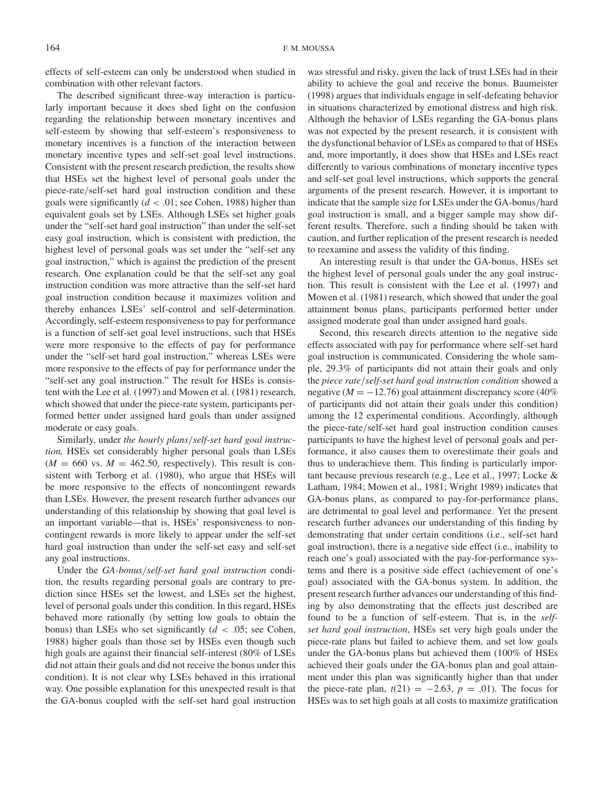effects of self-esteem can only be understood when studied in combination with other relevant factors.

The described significant three-way interaction is particularly important because it does shed light on the confusion regarding the relationship between monetary incentives and self-esteem by showing that self-esteem's responsiveness to monetary incentives is a function of the interaction between monetary incentive types and self-set goal level instructions. Consistent with the present research prediction, the results show that HSEs set the highest level of personal goals under the piece-rate/self-set hard goal instruction condition and these goals were significantly (*d* < .01; see Cohen, 1988) higher than equivalent goals set by LSEs. Although LSEs set higher goals under the "self-set hard goal instruction" than under the self-set easy goal instruction, which is consistent with prediction, the highest level of personal goals was set under the "self-set any goal instruction," which is against the prediction of the present research. One explanation could be that the self-set any goal instruction condition was more attractive than the self-set hard goal instruction condition because it maximizes volition and thereby enhances LSEs' self-control and self-determination. Accordingly, self-esteem responsiveness to pay for performance is a function of self-set goal level instructions, such that HSEs were more responsive to the effects of pay for performance under the "self-set hard goal instruction," whereas LSEs were more responsive to the effects of pay for performance under the "self-set any goal instruction." The result for HSEs is consistent with the Lee et al. (1997) and Mowen et al. (1981) research, which showed that under the piece-rate system, participants performed better under assigned hard goals than under assigned moderate or easy goals.

Similarly, under *the hourly plans*/*self-set hard goal instruction,* HSEs set considerably higher personal goals than LSEs  $(M = 660 \text{ vs. } M = 462.50,$  respectively). This result is consistent with Terborg et al. (1980), who argue that HSEs will be more responsive to the effects of noncontingent rewards than LSEs. However, the present research further advances our understanding of this relationship by showing that goal level is an important variable—that is, HSEs' responsiveness to noncontingent rewards is more likely to appear under the self-set hard goal instruction than under the self-set easy and self-set any goal instructions.

Under the *GA-bonus*/*self-set hard goal instruction* condition, the results regarding personal goals are contrary to prediction since HSEs set the lowest, and LSEs set the highest, level of personal goals under this condition. In this regard, HSEs behaved more rationally (by setting low goals to obtain the bonus) than LSEs who set significantly (*d* < .05; see Cohen, 1988) higher goals than those set by HSEs even though such high goals are against their financial self-interest (80% of LSEs did not attain their goals and did not receive the bonus under this condition). It is not clear why LSEs behaved in this irrational way. One possible explanation for this unexpected result is that the GA-bonus coupled with the self-set hard goal instruction

was stressful and risky, given the lack of trust LSEs had in their ability to achieve the goal and receive the bonus. Baumeister (1998) argues that individuals engage in self-defeating behavior in situations characterized by emotional distress and high risk. Although the behavior of LSEs regarding the GA-bonus plans was not expected by the present research, it is consistent with the dysfunctional behavior of LSEs as compared to that of HSEs and, more importantly, it does show that HSEs and LSEs react differently to various combinations of monetary incentive types and self-set goal level instructions, which supports the general arguments of the present research. However, it is important to indicate that the sample size for LSEs under the GA-bonus/hard goal instruction is small, and a bigger sample may show different results. Therefore, such a finding should be taken with caution, and further replication of the present research is needed to reexamine and assess the validity of this finding.

An interesting result is that under the GA-bonus, HSEs set the highest level of personal goals under the any goal instruction. This result is consistent with the Lee et al. (1997) and Mowen et al. (1981) research, which showed that under the goal attainment bonus plans, participants performed better under assigned moderate goal than under assigned hard goals.

Second, this research directs attention to the negative side effects associated with pay for performance where self-set hard goal instruction is communicated. Considering the whole sample, 29.3% of participants did not attain their goals and only the *piece rate*/*self-set hard goal instruction condition* showed a negative ( $M = -12.76$ ) goal attainment discrepancy score (40%) of participants did not attain their goals under this condition) among the 12 experimental conditions. Accordingly, although the piece-rate/self-set hard goal instruction condition causes participants to have the highest level of personal goals and performance, it also causes them to overestimate their goals and thus to underachieve them. This finding is particularly important because previous research (e.g., Lee et al., 1997; Locke & Latham, 1984; Mowen et al., 1981; Wright 1989) indicates that GA-bonus plans, as compared to pay-for-performance plans, are detrimental to goal level and performance. Yet the present research further advances our understanding of this finding by demonstrating that under certain conditions (i.e., self-set hard goal instruction), there is a negative side effect (i.e., inability to reach one's goal) associated with the pay-for-performance systems and there is a positive side effect (achievement of one's goal) associated with the GA-bonus system. In addition, the present research further advances our understanding of this finding by also demonstrating that the effects just described are found to be a function of self-esteem. That is, in the *selfset hard goal instruction*, HSEs set very high goals under the piece-rate plans but failed to achieve them, and set low goals under the GA-bonus plans but achieved them (100% of HSEs achieved their goals under the GA-bonus plan and goal attainment under this plan was significantly higher than that under the piece-rate plan,  $t(21) = -2.63$ ,  $p = .01$ ). The focus for HSEs was to set high goals at all costs to maximize gratification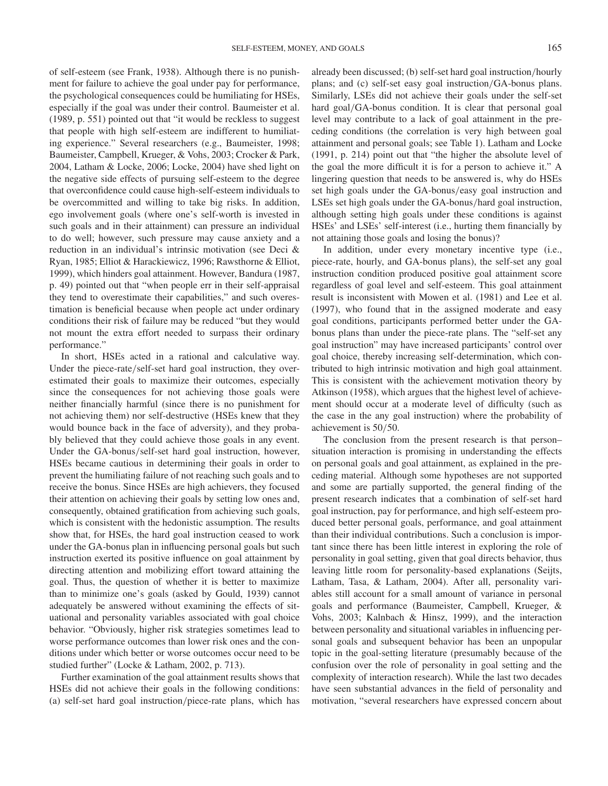of self-esteem (see Frank, 1938). Although there is no punishment for failure to achieve the goal under pay for performance, the psychological consequences could be humiliating for HSEs, especially if the goal was under their control. Baumeister et al. (1989, p. 551) pointed out that "it would be reckless to suggest that people with high self-esteem are indifferent to humiliating experience." Several researchers (e.g., Baumeister, 1998; Baumeister, Campbell, Krueger, & Vohs, 2003; Crocker & Park, 2004, Latham & Locke, 2006; Locke, 2004) have shed light on the negative side effects of pursuing self-esteem to the degree that overconfidence could cause high-self-esteem individuals to be overcommitted and willing to take big risks. In addition, ego involvement goals (where one's self-worth is invested in such goals and in their attainment) can pressure an individual to do well; however, such pressure may cause anxiety and a reduction in an individual's intrinsic motivation (see Deci & Ryan, 1985; Elliot & Harackiewicz, 1996; Rawsthorne & Elliot, 1999), which hinders goal attainment. However, Bandura (1987, p. 49) pointed out that "when people err in their self-appraisal they tend to overestimate their capabilities," and such overestimation is beneficial because when people act under ordinary conditions their risk of failure may be reduced "but they would not mount the extra effort needed to surpass their ordinary performance."

In short, HSEs acted in a rational and calculative way. Under the piece-rate/self-set hard goal instruction, they overestimated their goals to maximize their outcomes, especially since the consequences for not achieving those goals were neither financially harmful (since there is no punishment for not achieving them) nor self-destructive (HSEs knew that they would bounce back in the face of adversity), and they probably believed that they could achieve those goals in any event. Under the GA-bonus/self-set hard goal instruction, however, HSEs became cautious in determining their goals in order to prevent the humiliating failure of not reaching such goals and to receive the bonus. Since HSEs are high achievers, they focused their attention on achieving their goals by setting low ones and, consequently, obtained gratification from achieving such goals, which is consistent with the hedonistic assumption. The results show that, for HSEs, the hard goal instruction ceased to work under the GA-bonus plan in influencing personal goals but such instruction exerted its positive influence on goal attainment by directing attention and mobilizing effort toward attaining the goal. Thus, the question of whether it is better to maximize than to minimize one's goals (asked by Gould, 1939) cannot adequately be answered without examining the effects of situational and personality variables associated with goal choice behavior. "Obviously, higher risk strategies sometimes lead to worse performance outcomes than lower risk ones and the conditions under which better or worse outcomes occur need to be studied further" (Locke & Latham, 2002, p. 713).

Further examination of the goal attainment results shows that HSEs did not achieve their goals in the following conditions: (a) self-set hard goal instruction/piece-rate plans, which has

already been discussed; (b) self-set hard goal instruction/hourly plans; and (c) self-set easy goal instruction/GA-bonus plans. Similarly, LSEs did not achieve their goals under the self-set hard goal/GA-bonus condition. It is clear that personal goal level may contribute to a lack of goal attainment in the preceding conditions (the correlation is very high between goal attainment and personal goals; see Table 1). Latham and Locke (1991, p. 214) point out that "the higher the absolute level of the goal the more difficult it is for a person to achieve it." A lingering question that needs to be answered is, why do HSEs set high goals under the GA-bonus/easy goal instruction and LSEs set high goals under the GA-bonus/hard goal instruction, although setting high goals under these conditions is against HSEs' and LSEs' self-interest (i.e., hurting them financially by not attaining those goals and losing the bonus)?

In addition, under every monetary incentive type (i.e., piece-rate, hourly, and GA-bonus plans), the self-set any goal instruction condition produced positive goal attainment score regardless of goal level and self-esteem. This goal attainment result is inconsistent with Mowen et al. (1981) and Lee et al. (1997), who found that in the assigned moderate and easy goal conditions, participants performed better under the GAbonus plans than under the piece-rate plans. The "self-set any goal instruction" may have increased participants' control over goal choice, thereby increasing self-determination, which contributed to high intrinsic motivation and high goal attainment. This is consistent with the achievement motivation theory by Atkinson (1958), which argues that the highest level of achievement should occur at a moderate level of difficulty (such as the case in the any goal instruction) where the probability of achievement is 50/50.

The conclusion from the present research is that person– situation interaction is promising in understanding the effects on personal goals and goal attainment, as explained in the preceding material. Although some hypotheses are not supported and some are partially supported, the general finding of the present research indicates that a combination of self-set hard goal instruction, pay for performance, and high self-esteem produced better personal goals, performance, and goal attainment than their individual contributions. Such a conclusion is important since there has been little interest in exploring the role of personality in goal setting, given that goal directs behavior, thus leaving little room for personality-based explanations (Seijts, Latham, Tasa, & Latham, 2004). After all, personality variables still account for a small amount of variance in personal goals and performance (Baumeister, Campbell, Krueger, & Vohs, 2003; Kalnbach & Hinsz, 1999), and the interaction between personality and situational variables in influencing personal goals and subsequent behavior has been an unpopular topic in the goal-setting literature (presumably because of the confusion over the role of personality in goal setting and the complexity of interaction research). While the last two decades have seen substantial advances in the field of personality and motivation, "several researchers have expressed concern about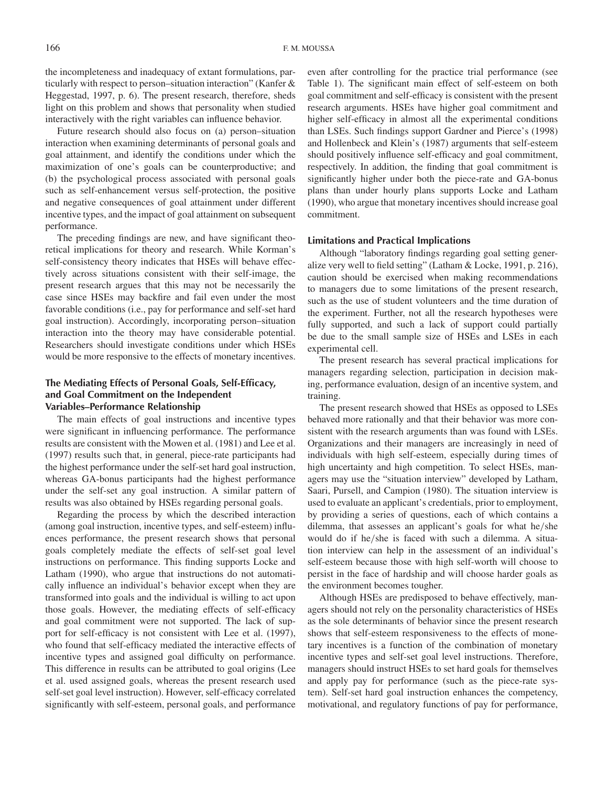the incompleteness and inadequacy of extant formulations, particularly with respect to person–situation interaction" (Kanfer & Heggestad, 1997, p. 6). The present research, therefore, sheds light on this problem and shows that personality when studied interactively with the right variables can influence behavior.

Future research should also focus on (a) person–situation interaction when examining determinants of personal goals and goal attainment, and identify the conditions under which the maximization of one's goals can be counterproductive; and (b) the psychological process associated with personal goals such as self-enhancement versus self-protection, the positive and negative consequences of goal attainment under different incentive types, and the impact of goal attainment on subsequent performance.

The preceding findings are new, and have significant theoretical implications for theory and research. While Korman's self-consistency theory indicates that HSEs will behave effectively across situations consistent with their self-image, the present research argues that this may not be necessarily the case since HSEs may backfire and fail even under the most favorable conditions (i.e., pay for performance and self-set hard goal instruction). Accordingly, incorporating person–situation interaction into the theory may have considerable potential. Researchers should investigate conditions under which HSEs would be more responsive to the effects of monetary incentives.

# **The Mediating Effects of Personal Goals, Self-Efficacy, and Goal Commitment on the Independent Variables–Performance Relationship**

The main effects of goal instructions and incentive types were significant in influencing performance. The performance results are consistent with the Mowen et al. (1981) and Lee et al. (1997) results such that, in general, piece-rate participants had the highest performance under the self-set hard goal instruction, whereas GA-bonus participants had the highest performance under the self-set any goal instruction. A similar pattern of results was also obtained by HSEs regarding personal goals.

Regarding the process by which the described interaction (among goal instruction, incentive types, and self-esteem) influences performance, the present research shows that personal goals completely mediate the effects of self-set goal level instructions on performance. This finding supports Locke and Latham (1990), who argue that instructions do not automatically influence an individual's behavior except when they are transformed into goals and the individual is willing to act upon those goals. However, the mediating effects of self-efficacy and goal commitment were not supported. The lack of support for self-efficacy is not consistent with Lee et al. (1997), who found that self-efficacy mediated the interactive effects of incentive types and assigned goal difficulty on performance. This difference in results can be attributed to goal origins (Lee et al. used assigned goals, whereas the present research used self-set goal level instruction). However, self-efficacy correlated significantly with self-esteem, personal goals, and performance

even after controlling for the practice trial performance (see Table 1). The significant main effect of self-esteem on both goal commitment and self-efficacy is consistent with the present research arguments. HSEs have higher goal commitment and higher self-efficacy in almost all the experimental conditions than LSEs. Such findings support Gardner and Pierce's (1998) and Hollenbeck and Klein's (1987) arguments that self-esteem should positively influence self-efficacy and goal commitment, respectively. In addition, the finding that goal commitment is significantly higher under both the piece-rate and GA-bonus plans than under hourly plans supports Locke and Latham (1990), who argue that monetary incentives should increase goal commitment.

#### **Limitations and Practical Implications**

Although "laboratory findings regarding goal setting generalize very well to field setting" (Latham & Locke, 1991, p. 216), caution should be exercised when making recommendations to managers due to some limitations of the present research, such as the use of student volunteers and the time duration of the experiment. Further, not all the research hypotheses were fully supported, and such a lack of support could partially be due to the small sample size of HSEs and LSEs in each experimental cell.

The present research has several practical implications for managers regarding selection, participation in decision making, performance evaluation, design of an incentive system, and training.

The present research showed that HSEs as opposed to LSEs behaved more rationally and that their behavior was more consistent with the research arguments than was found with LSEs. Organizations and their managers are increasingly in need of individuals with high self-esteem, especially during times of high uncertainty and high competition. To select HSEs, managers may use the "situation interview" developed by Latham, Saari, Pursell, and Campion (1980). The situation interview is used to evaluate an applicant's credentials, prior to employment, by providing a series of questions, each of which contains a dilemma, that assesses an applicant's goals for what he/she would do if he/she is faced with such a dilemma. A situation interview can help in the assessment of an individual's self-esteem because those with high self-worth will choose to persist in the face of hardship and will choose harder goals as the environment becomes tougher.

Although HSEs are predisposed to behave effectively, managers should not rely on the personality characteristics of HSEs as the sole determinants of behavior since the present research shows that self-esteem responsiveness to the effects of monetary incentives is a function of the combination of monetary incentive types and self-set goal level instructions. Therefore, managers should instruct HSEs to set hard goals for themselves and apply pay for performance (such as the piece-rate system). Self-set hard goal instruction enhances the competency, motivational, and regulatory functions of pay for performance,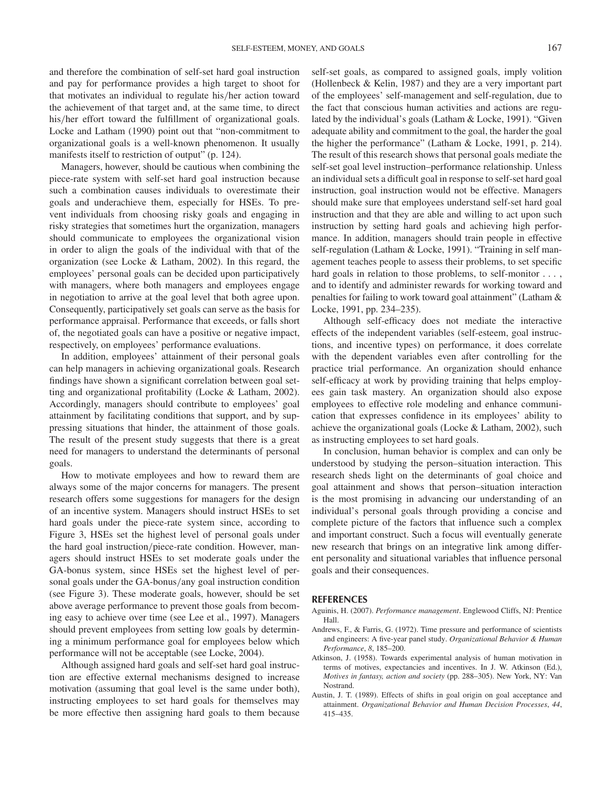and therefore the combination of self-set hard goal instruction and pay for performance provides a high target to shoot for that motivates an individual to regulate his/her action toward the achievement of that target and, at the same time, to direct his/her effort toward the fulfillment of organizational goals. Locke and Latham (1990) point out that "non-commitment to organizational goals is a well-known phenomenon. It usually manifests itself to restriction of output" (p. 124).

Managers, however, should be cautious when combining the piece-rate system with self-set hard goal instruction because such a combination causes individuals to overestimate their goals and underachieve them, especially for HSEs. To prevent individuals from choosing risky goals and engaging in risky strategies that sometimes hurt the organization, managers should communicate to employees the organizational vision in order to align the goals of the individual with that of the organization (see Locke & Latham, 2002). In this regard, the employees' personal goals can be decided upon participatively with managers, where both managers and employees engage in negotiation to arrive at the goal level that both agree upon. Consequently, participatively set goals can serve as the basis for performance appraisal. Performance that exceeds, or falls short of, the negotiated goals can have a positive or negative impact, respectively, on employees' performance evaluations.

In addition, employees' attainment of their personal goals can help managers in achieving organizational goals. Research findings have shown a significant correlation between goal setting and organizational profitability (Locke & Latham, 2002). Accordingly, managers should contribute to employees' goal attainment by facilitating conditions that support, and by suppressing situations that hinder, the attainment of those goals. The result of the present study suggests that there is a great need for managers to understand the determinants of personal goals.

How to motivate employees and how to reward them are always some of the major concerns for managers. The present research offers some suggestions for managers for the design of an incentive system. Managers should instruct HSEs to set hard goals under the piece-rate system since, according to Figure 3, HSEs set the highest level of personal goals under the hard goal instruction/piece-rate condition. However, managers should instruct HSEs to set moderate goals under the GA-bonus system, since HSEs set the highest level of personal goals under the GA-bonus/any goal instruction condition (see Figure 3). These moderate goals, however, should be set above average performance to prevent those goals from becoming easy to achieve over time (see Lee et al., 1997). Managers should prevent employees from setting low goals by determining a minimum performance goal for employees below which performance will not be acceptable (see Locke, 2004).

Although assigned hard goals and self-set hard goal instruction are effective external mechanisms designed to increase motivation (assuming that goal level is the same under both), instructing employees to set hard goals for themselves may be more effective then assigning hard goals to them because

self-set goals, as compared to assigned goals, imply volition (Hollenbeck & Kelin, 1987) and they are a very important part of the employees' self-management and self-regulation, due to the fact that conscious human activities and actions are regulated by the individual's goals (Latham & Locke, 1991). "Given adequate ability and commitment to the goal, the harder the goal the higher the performance" (Latham & Locke, 1991, p. 214). The result of this research shows that personal goals mediate the self-set goal level instruction–performance relationship. Unless an individual sets a difficult goal in response to self-set hard goal instruction, goal instruction would not be effective. Managers should make sure that employees understand self-set hard goal instruction and that they are able and willing to act upon such instruction by setting hard goals and achieving high performance. In addition, managers should train people in effective self-regulation (Latham & Locke, 1991). "Training in self management teaches people to assess their problems, to set specific hard goals in relation to those problems, to self-monitor ..., and to identify and administer rewards for working toward and penalties for failing to work toward goal attainment" (Latham & Locke, 1991, pp. 234–235).

Although self-efficacy does not mediate the interactive effects of the independent variables (self-esteem, goal instructions, and incentive types) on performance, it does correlate with the dependent variables even after controlling for the practice trial performance. An organization should enhance self-efficacy at work by providing training that helps employees gain task mastery. An organization should also expose employees to effective role modeling and enhance communication that expresses confidence in its employees' ability to achieve the organizational goals (Locke & Latham, 2002), such as instructing employees to set hard goals.

In conclusion, human behavior is complex and can only be understood by studying the person–situation interaction. This research sheds light on the determinants of goal choice and goal attainment and shows that person–situation interaction is the most promising in advancing our understanding of an individual's personal goals through providing a concise and complete picture of the factors that influence such a complex and important construct. Such a focus will eventually generate new research that brings on an integrative link among different personality and situational variables that influence personal goals and their consequences.

#### **REFERENCES**

- Aguinis, H. (2007). *Performance management*. Englewood Cliffs, NJ: Prentice Hall.
- Andrews, F., & Farris, G. (1972). Time pressure and performance of scientists and engineers: A five-year panel study. *Organizational Behavior & Human Performance*, *8*, 185–200.
- Atkinson, J. (1958). Towards experimental analysis of human motivation in terms of motives, expectancies and incentives. In J. W. Atkinson (Ed.), *Motives in fantasy, action and society* (pp. 288–305). New York, NY: Van Nostrand.
- Austin, J. T. (1989). Effects of shifts in goal origin on goal acceptance and attainment. *Organizational Behavior and Human Decision Processes*, *44*, 415–435.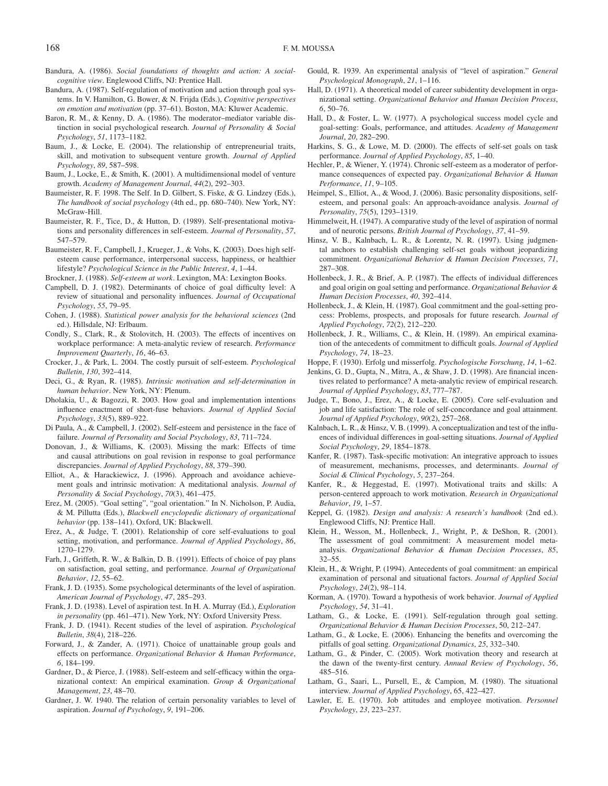- Bandura, A. (1986). *Social foundations of thoughts and action: A socialcognitive view*. Englewood Cliffs, NJ: Prentice Hall.
- Bandura, A. (1987). Self-regulation of motivation and action through goal systems. In V. Hamilton, G. Bower, & N. Frijda (Eds.), *Cognitive perspectives on emotion and motivation* (pp. 37–61). Boston, MA: Kluwer Academic.
- Baron, R. M., & Kenny, D. A. (1986). The moderator–mediator variable distinction in social psychological research. *Journal of Personality & Social Psychology*, *51*, 1173–1182.
- Baum, J., & Locke, E. (2004). The relationship of entrepreneurial traits, skill, and motivation to subsequent venture growth. *Journal of Applied Psychology*, *89*, 587–598.
- Baum, J., Locke, E., & Smith, K. (2001). A multidimensional model of venture growth. *Academy of Management Journal*, *44*(2), 292–303.
- Baumeister, R. F. 1998. The Self. In D. Gilbert, S. Fiske, & G. Lindzey (Eds.), *The handbook of social psychology* (4th ed., pp. 680–740). New York, NY: McGraw-Hill.
- Baumeister, R. F., Tice, D., & Hutton, D. (1989). Self-presentational motivations and personality differences in self-esteem. *Journal of Personality*, *57*, 547–579.
- Baumeister, R. F., Campbell, J., Krueger, J., & Vohs, K. (2003). Does high selfesteem cause performance, interpersonal success, happiness, or healthier lifestyle? *Psychological Science in the Public Interest*, *4*, 1–44.
- Brockner, J. (1988). *Self-esteem at work*. Lexington, MA: Lexington Books.
- Campbell, D. J. (1982). Determinants of choice of goal difficulty level: A review of situational and personality influences. *Journal of Occupational Psychology*, *55*, 79–95.
- Cohen, J. (1988). *Statistical power analysis for the behavioral sciences* (2nd ed.). Hillsdale, NJ: Erlbaum.
- Condly, S., Clark, R., & Stolovitch, H. (2003). The effects of incentives on workplace performance: A meta-analytic review of research. *Performance Improvement Quarterly*, *16*, 46–63.
- Crocker, J., & Park, L. 2004. The costly pursuit of self-esteem. *Psychological Bulletin*, *130*, 392–414.
- Deci, G., & Ryan, R. (1985). *Intrinsic motivation and self-determination in human behavior*. New York, NY: Plenum.
- Dholakia, U., & Bagozzi, R. 2003. How goal and implementation intentions influence enactment of short-fuse behaviors. *Journal of Applied Social Psychology*, *33*(5), 889–922.
- Di Paula, A., & Campbell, J. (2002). Self-esteem and persistence in the face of failure. *Journal of Personality and Social Psychology*, *83*, 711–724.
- Donovan, J., & Williams, K. (2003). Missing the mark: Effects of time and causal attributions on goal revision in response to goal performance discrepancies. *Journal of Applied Psychology*, *88*, 379–390.
- Elliot, A., & Harackiewicz, J. (1996). Approach and avoidance achievement goals and intrinsic motivation: A meditational analysis. *Journal of Personality & Social Psychology*, *70*(3), 461–475.
- Erez, M. (2005). "Goal setting", "goal orientation." In N. Nicholson, P. Audia, & M. Pillutta (Eds.), *Blackwell encyclopedic dictionary of organizational behavior* (pp. 138–141). Oxford, UK: Blackwell.
- Erez, A., & Judge, T. (2001). Relationship of core self-evaluations to goal setting, motivation, and performance. *Journal of Applied Psychology*, *86*, 1270–1279.
- Farh, J., Griffeth, R. W., & Balkin, D. B. (1991). Effects of choice of pay plans on satisfaction, goal setting, and performance. *Journal of Organizational Behavior*, *12*, 55–62.
- Frank, J. D. (1935). Some psychological determinants of the level of aspiration. *American Journal of Psychology*, *47*, 285–293.
- Frank, J. D. (1938). Level of aspiration test. In H. A. Murray (Ed.), *Exploration in personality* (pp. 461–471). New York, NY: Oxford University Press.
- Frank, J. D. (1941). Recent studies of the level of aspiration. *Psychological Bulletin*, *38*(4), 218–226.
- Forward, J., & Zander, A. (1971). Choice of unattainable group goals and effects on performance. *Organizational Behavior & Human Performance*, *6*, 184–199.
- Gardner, D., & Pierce, J. (1988). Self-esteem and self-efficacy within the organizational context: An empirical examination. *Group & Organizational Management*, *23*, 48–70.
- Gardner, J. W. 1940. The relation of certain personality variables to level of aspiration. *Journal of Psychology*, *9*, 191–206.
- Gould, R. 1939. An experimental analysis of "level of aspiration." *General Psychological Monograph*, *21*, 1–116.
- Hall, D. (1971). A theoretical model of career subidentity development in organizational setting. *Organizational Behavior and Human Decision Process*, *6*, 50–76.
- Hall, D., & Foster, L. W. (1977). A psychological success model cycle and goal-setting: Goals, performance, and attitudes. *Academy of Management Journal*, *20*, 282–290.
- Harkins, S. G., & Lowe, M. D. (2000). The effects of self-set goals on task performance. *Journal of Applied Psychology*, *85*, 1–40.
- Hechler, P., & Wiener, Y. (1974). Chronic self-esteem as a moderator of performance consequences of expected pay. *Organizational Behavior & Human Performance*, *11*, 9–105.
- Heimpel, S., Elliot, A., & Wood, J. (2006). Basic personality dispositions, selfesteem, and personal goals: An approach-avoidance analysis. *Journal of Personality*, *75*(5), 1293–1319.
- Himmelweit, H. (1947). A comparative study of the level of aspiration of normal and of neurotic persons. *British Journal of Psychology*, *37*, 41–59.
- Hinsz, V. B., Kalnbach, L. R., & Lorentz, N. R. (1997). Using judgmental anchors to establish challenging self-set goals without jeopardizing commitment. *Organizational Behavior & Human Decision Processes*, *71*, 287–308.
- Hollenbeck, J. R., & Brief, A. P. (1987). The effects of individual differences and goal origin on goal setting and performance. *Organizational Behavior & Human Decision Processes*, *40*, 392–414.
- Hollenbeck, J., & Klein, H. (1987). Goal commitment and the goal-setting process: Problems, prospects, and proposals for future research. *Journal of Applied Psychology*, *72*(2), 212–220.
- Hollenbeck, J. R., Williams, C., & Klein, H. (1989). An empirical examination of the antecedents of commitment to difficult goals. *Journal of Applied Psychology*, *74*, 18–23.
- Hoppe, F. (1930). Erfolg und misserfolg. *Psychologische Forschung*, *14*, 1–62.
- Jenkins, G. D., Gupta, N., Mitra, A., & Shaw, J. D. (1998). Are financial incentives related to performance? A meta-analytic review of empirical research. *Journal of Applied Psychology*, *83*, 777–787.
- Judge, T., Bono, J., Erez, A., & Locke, E. (2005). Core self-evaluation and job and life satisfaction: The role of self-concordance and goal attainment. *Journal of Applied Psychology*, *90*(2), 257–268.
- Kalnbach, L. R., & Hinsz, V. B. (1999). A conceptualization and test of the influences of individual differences in goal-setting situations. *Journal of Applied Social Psychology*, *29*, 1854–1878.
- Kanfer, R. (1987). Task-specific motivation: An integrative approach to issues of measurement, mechanisms, processes, and determinants. *Journal of Social & Clinical Psychology*, *5*, 237–264.
- Kanfer, R., & Heggestad, E. (1997). Motivational traits and skills: A person-centered approach to work motivation. *Research in Organizational Behavior*, *19*, 1–57.
- Keppel, G. (1982). *Design and analysis: A research's handbook* (2nd ed.). Englewood Cliffs, NJ: Prentice Hall.
- Klein, H., Wesson, M., Hollenbeck, J., Wright, P., & DeShon, R. (2001). The assessment of goal commitment: A measurement model metaanalysis. *Organizational Behavior & Human Decision Processes*, *85*, 32–55.
- Klein, H., & Wright, P. (1994). Antecedents of goal commitment: an empirical examination of personal and situational factors. *Journal of Applied Social Psychology*, *24*(2), 98–114.
- Korman, A. (1970). Toward a hypothesis of work behavior. *Journal of Applied Psychology*, *54*, 31–41.
- Latham, G., & Locke, E. (1991). Self-regulation through goal setting. *Organizational Behavior & Human Decision Processes*, 50, 212–247.
- Latham, G., & Locke, E. (2006). Enhancing the benefits and overcoming the pitfalls of goal setting. *Organizational Dynamics*, *25*, 332–340.
- Latham, G., & Pinder, C. (2005). Work motivation theory and research at the dawn of the twenty-first century. *Annual Review of Psychology*, *56*, 485–516.
- Latham, G., Saari, L., Pursell, E., & Campion, M. (1980). The situational interview. *Journal of Applied Psychology*, 65, 422–427.
- Lawler, E. E. (1970). Job attitudes and employee motivation. *Personnel Psychology*, *23*, 223–237.